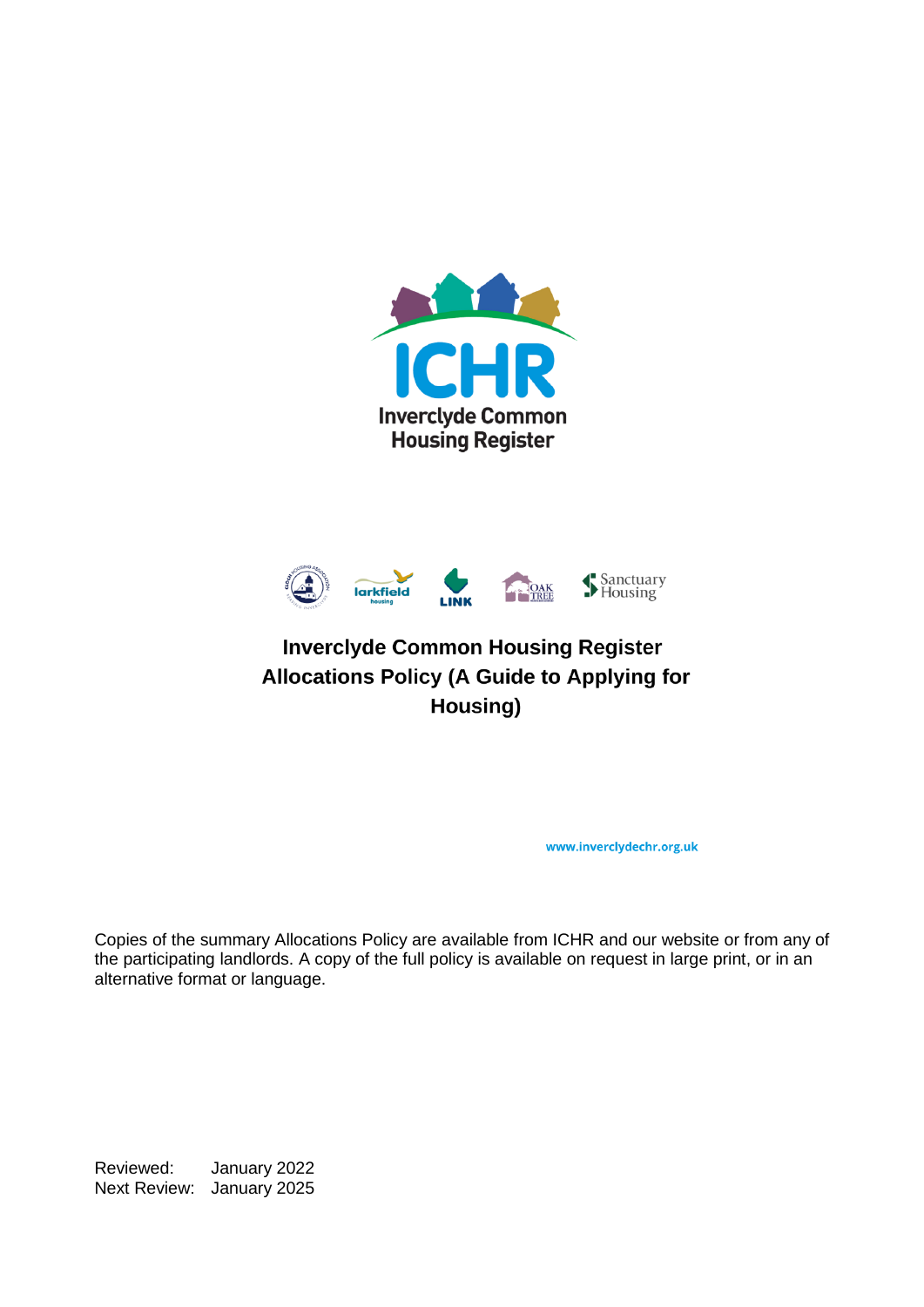



# **Inverclyde Common Housing Register Allocations Policy (A Guide to Applying for** Housing)

www.inverclydechr.org.uk

Copies of the summary Allocations Policy are available from ICHR and our website or from any of the participating landlords. A copy of the full policy is available on request in large print, or in an alternative format or language.

Reviewed: January 2022 Next Review: January 2025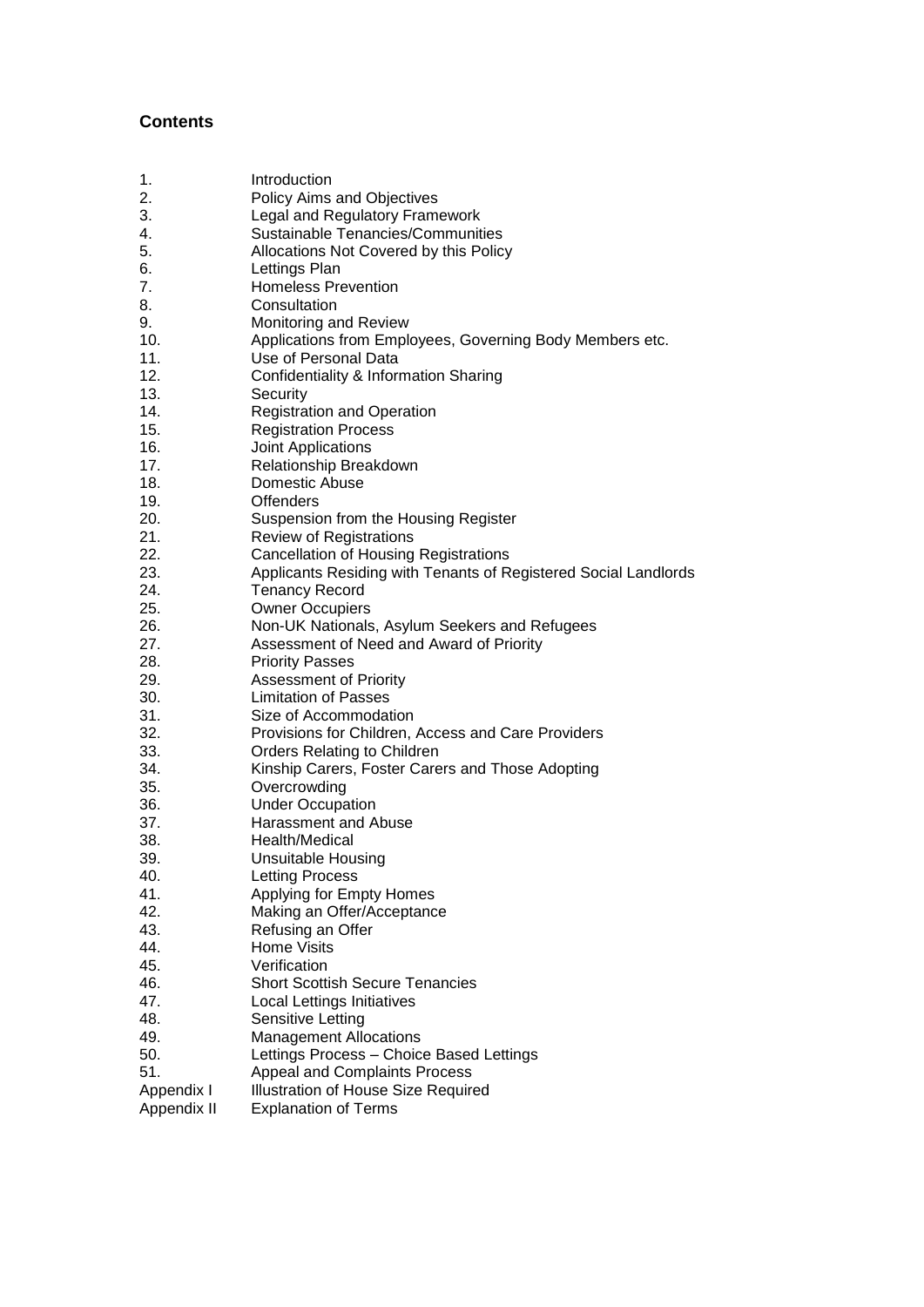#### **Contents**

| Introduction |  |
|--------------|--|
|              |  |

- 2. Policy Aims and Objectives<br>3. Peral and Requiatory Frame
- 3. Legal and Regulatory Framework<br>4 Sustainable Tenancies/Communit
- 4. Sustainable Tenancies/Communities<br>5. Allocations Not Covered by this Polic
- 5. Allocations Not Covered by this Policy
- 6. Lettings Plan
- 7. Homeless Prevention
- 8. Consultation
- 9. Monitoring and Review
- 10. Applications from Employees, Governing Body Members etc.
- 11. Use of Personal Data
- 12. Confidentiality & Information Sharing
- 13. Security
- 14. Registration and Operation
- 15. Registration Process
- 16. Joint Applications
- 17. Relationship Breakdown
- 18. Domestic Abuse
- 19. Offenders
- 20. Suspension from the Housing Register
- 21. Review of Registrations
- 22. Cancellation of Housing Registrations
- 23. Applicants Residing with Tenants of Registered Social Landlords<br>24. Tenancy Record
- Tenancy Record
- 25. Owner Occupiers
- 26. Non-UK Nationals, Asylum Seekers and Refugees
- 27. Assessment of Need and Award of Priority
- 28. Priority Passes
- 29. Assessment of Priority
- 30. Limitation of Passes
- 31. Size of Accommodation
- 32. Provisions for Children, Access and Care Providers
- 33. Orders Relating to Children
- 34. Kinship Carers, Foster Carers and Those Adopting
- 35. Overcrowding
- 36. Under Occupation
- 37. Harassment and Abuse
- 38. Health/Medical
- 39. Unsuitable Housing
- 40. Letting Process
- 41. Applying for Empty Homes
- 42. Making an Offer/Acceptance
- 43. Refusing an Offer
- 
- 44. Home Visits<br>45. Verification Verification
- 46. Short Scottish Secure Tenancies
- 47. Local Lettings Initiatives
- 48. Sensitive Letting
- 49. Management Allocations
- 50. Lettings Process Choice Based Lettings
- 51. Appeal and Complaints Process
- Appendix I Illustration of House Size Required
- Appendix II Explanation of Terms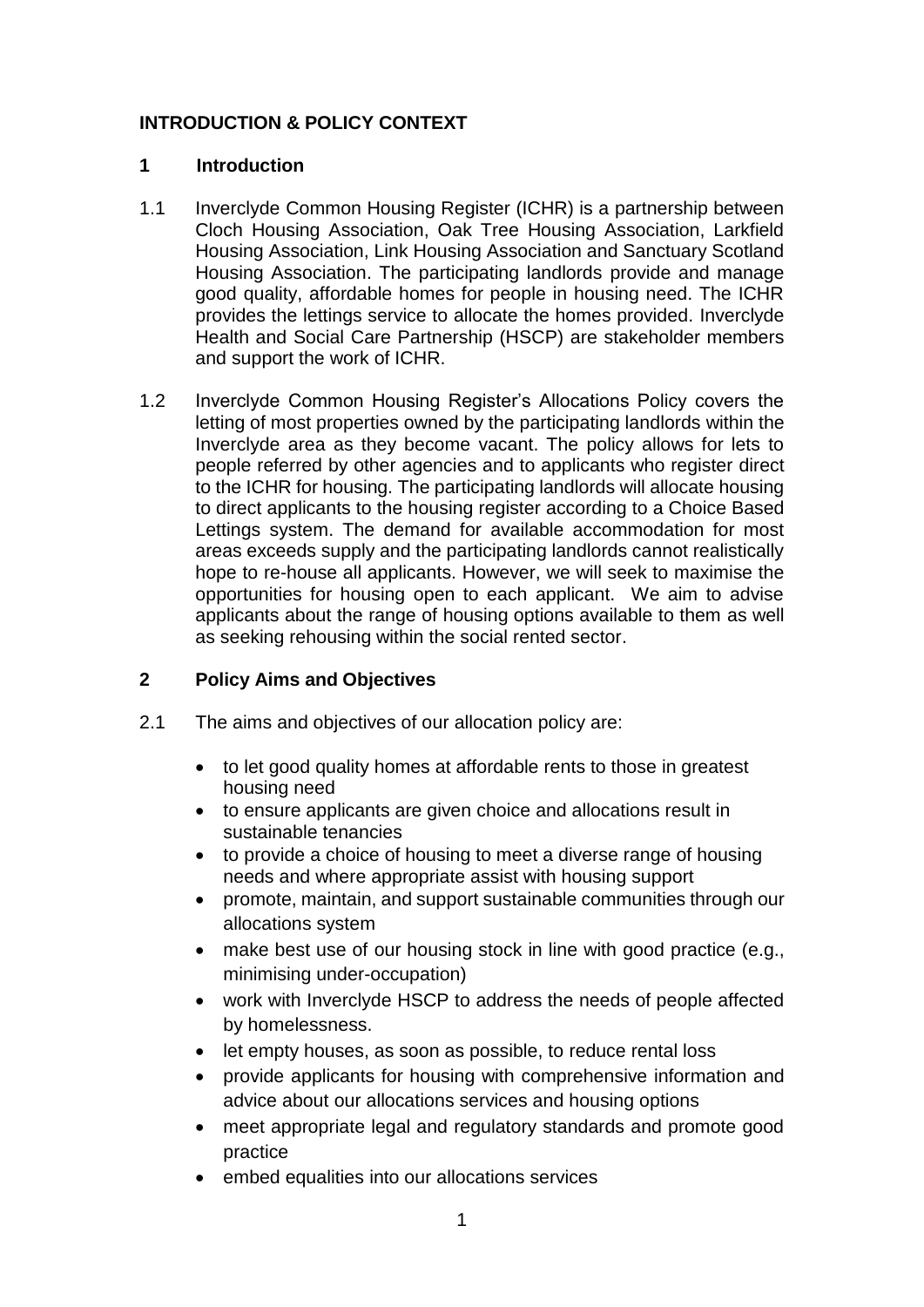# **INTRODUCTION & POLICY CONTEXT**

### **1 Introduction**

- 1.1 Inverclyde Common Housing Register (ICHR) is a partnership between Cloch Housing Association, Oak Tree Housing Association, Larkfield Housing Association, Link Housing Association and Sanctuary Scotland Housing Association. The participating landlords provide and manage good quality, affordable homes for people in housing need. The ICHR provides the lettings service to allocate the homes provided. Inverclyde Health and Social Care Partnership (HSCP) are stakeholder members and support the work of ICHR.
- 1.2 Inverclyde Common Housing Register's Allocations Policy covers the letting of most properties owned by the participating landlords within the Inverclyde area as they become vacant. The policy allows for lets to people referred by other agencies and to applicants who register direct to the ICHR for housing. The participating landlords will allocate housing to direct applicants to the housing register according to a Choice Based Lettings system. The demand for available accommodation for most areas exceeds supply and the participating landlords cannot realistically hope to re-house all applicants. However, we will seek to maximise the opportunities for housing open to each applicant. We aim to advise applicants about the range of housing options available to them as well as seeking rehousing within the social rented sector.

# **2 Policy Aims and Objectives**

- 2.1 The aims and objectives of our allocation policy are:
	- to let good quality homes at affordable rents to those in greatest housing need
	- to ensure applicants are given choice and allocations result in sustainable tenancies
	- to provide a choice of housing to meet a diverse range of housing needs and where appropriate assist with housing support
	- promote, maintain, and support sustainable communities through our allocations system
	- make best use of our housing stock in line with good practice (e.g., minimising under-occupation)
	- work with Inverclyde HSCP to address the needs of people affected by homelessness.
	- let empty houses, as soon as possible, to reduce rental loss
	- provide applicants for housing with comprehensive information and advice about our allocations services and housing options
	- meet appropriate legal and regulatory standards and promote good practice
	- embed equalities into our allocations services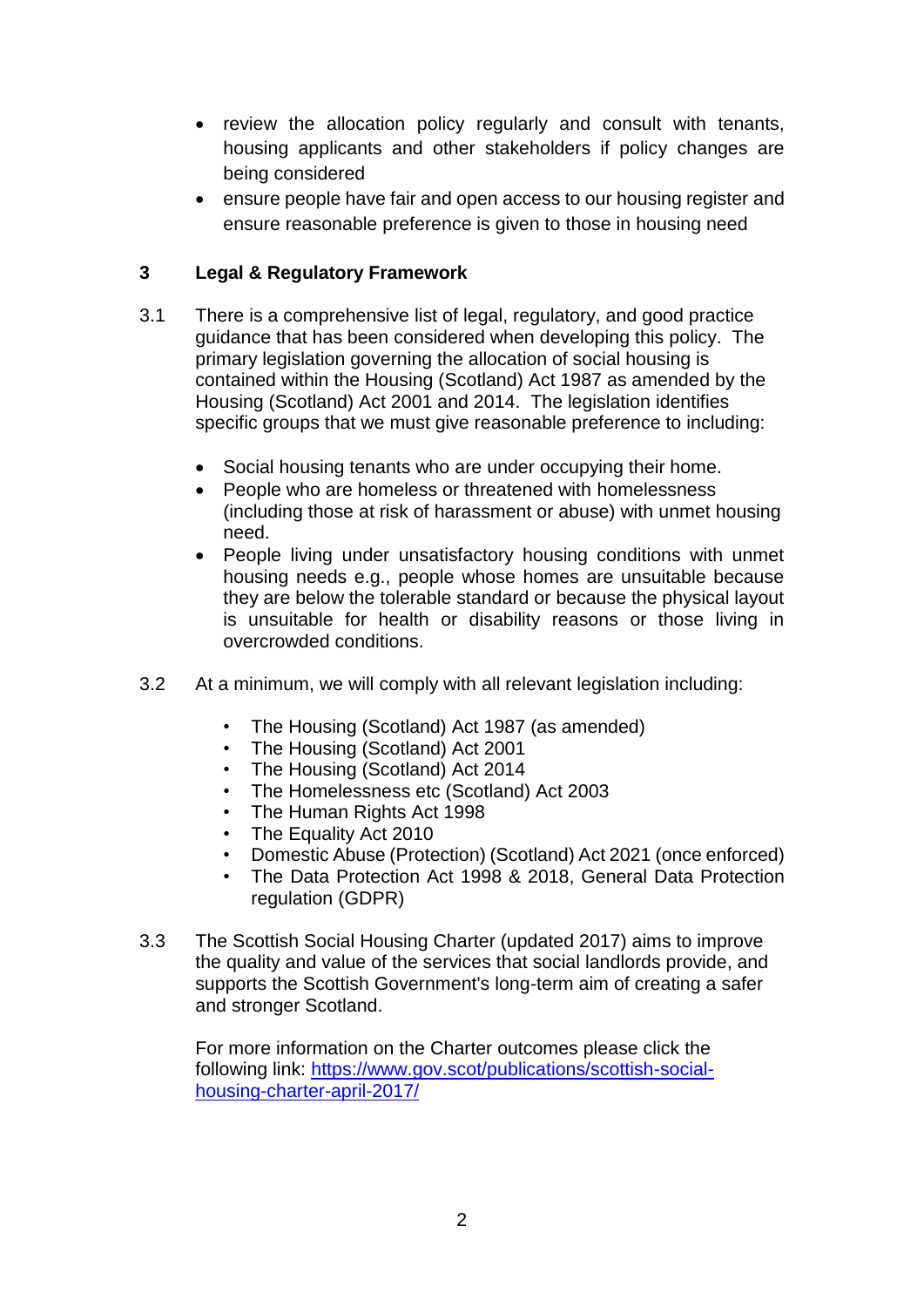- review the allocation policy regularly and consult with tenants, housing applicants and other stakeholders if policy changes are being considered
- ensure people have fair and open access to our housing register and ensure reasonable preference is given to those in housing need

# **3 Legal & Regulatory Framework**

- 3.1 There is a comprehensive list of legal, regulatory, and good practice guidance that has been considered when developing this policy. The primary legislation governing the allocation of social housing is contained within the Housing (Scotland) Act 1987 as amended by the Housing (Scotland) Act 2001 and 2014. The legislation identifies specific groups that we must give reasonable preference to including:
	- Social housing tenants who are under occupying their home.
	- People who are homeless or threatened with homelessness (including those at risk of harassment or abuse) with unmet housing need.
	- People living under unsatisfactory housing conditions with unmet housing needs e.g., people whose homes are unsuitable because they are below the tolerable standard or because the physical layout is unsuitable for health or disability reasons or those living in overcrowded conditions.
- 3.2 At a minimum, we will comply with all relevant legislation including:
	- The Housing (Scotland) Act 1987 (as amended)
	- The Housing (Scotland) Act 2001
	- The Housing (Scotland) Act 2014
	- The Homelessness etc (Scotland) Act 2003
	- The Human Rights Act 1998
	- The Equality Act 2010
	- Domestic Abuse (Protection) (Scotland) Act 2021 (once enforced)
	- The Data Protection Act 1998 & 2018, General Data Protection regulation (GDPR)
- 3.3 The Scottish Social Housing Charter (updated 2017) aims to improve the quality and value of the services that social landlords provide, and supports the Scottish Government's long-term aim of creating a safer and stronger Scotland.

For more information on the Charter outcomes please click the following link: [https://www.gov.scot/publications/scottish-social](https://www.gov.scot/publications/scottish-social-housing-charter-april-2017/)[housing-charter-april-2017/](https://www.gov.scot/publications/scottish-social-housing-charter-april-2017/)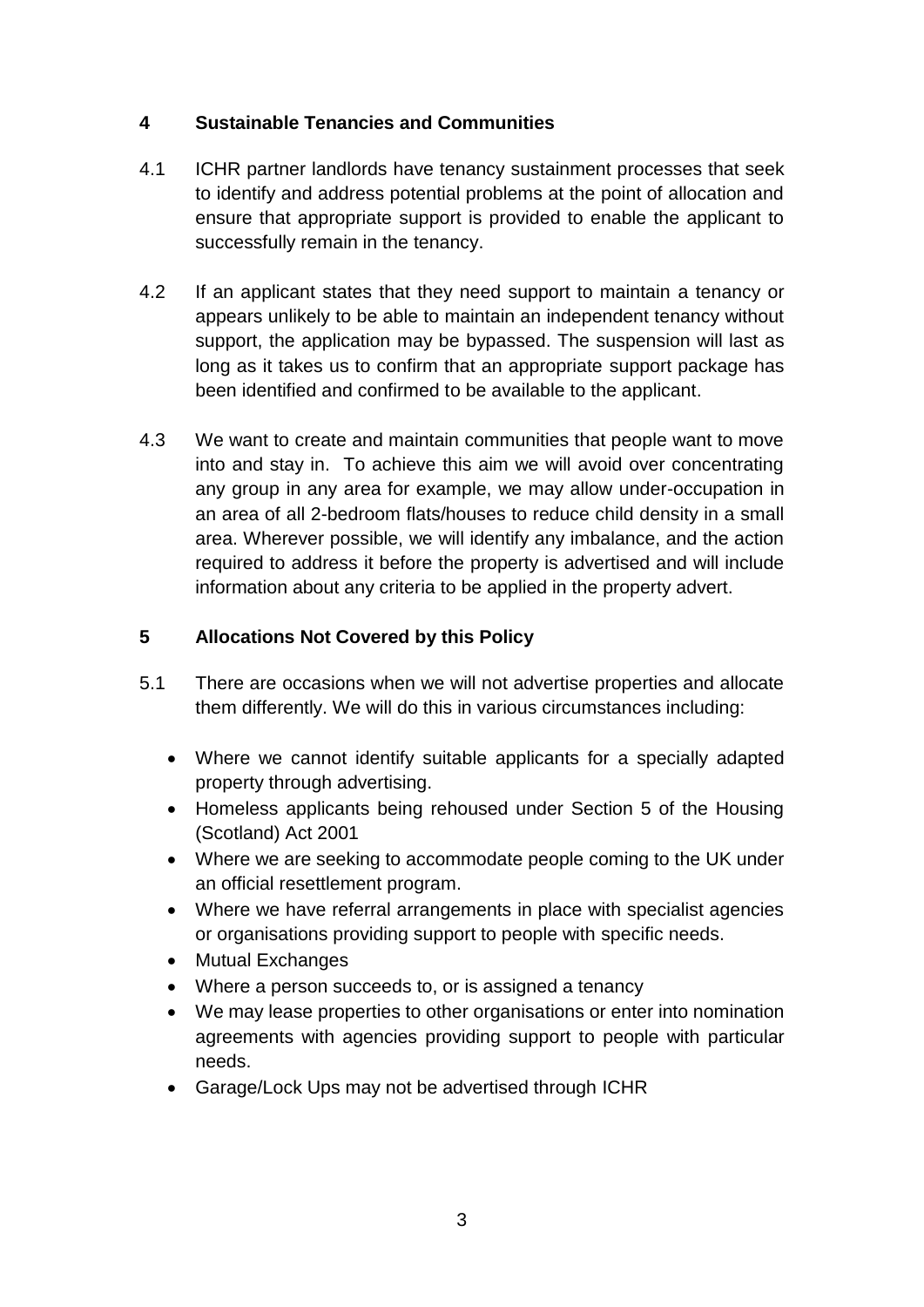# **4 Sustainable Tenancies and Communities**

- 4.1 ICHR partner landlords have tenancy sustainment processes that seek to identify and address potential problems at the point of allocation and ensure that appropriate support is provided to enable the applicant to successfully remain in the tenancy.
- 4.2 If an applicant states that they need support to maintain a tenancy or appears unlikely to be able to maintain an independent tenancy without support, the application may be bypassed. The suspension will last as long as it takes us to confirm that an appropriate support package has been identified and confirmed to be available to the applicant.
- 4.3 We want to create and maintain communities that people want to move into and stay in. To achieve this aim we will avoid over concentrating any group in any area for example, we may allow under-occupation in an area of all 2-bedroom flats/houses to reduce child density in a small area. Wherever possible, we will identify any imbalance, and the action required to address it before the property is advertised and will include information about any criteria to be applied in the property advert.

# **5 Allocations Not Covered by this Policy**

- 5.1 There are occasions when we will not advertise properties and allocate them differently. We will do this in various circumstances including:
	- Where we cannot identify suitable applicants for a specially adapted property through advertising.
	- Homeless applicants being rehoused under Section 5 of the Housing (Scotland) Act 2001
	- Where we are seeking to accommodate people coming to the UK under an official resettlement program.
	- Where we have referral arrangements in place with specialist agencies or organisations providing support to people with specific needs.
	- Mutual Exchanges
	- Where a person succeeds to, or is assigned a tenancy
	- We may lease properties to other organisations or enter into nomination agreements with agencies providing support to people with particular needs.
	- Garage/Lock Ups may not be advertised through ICHR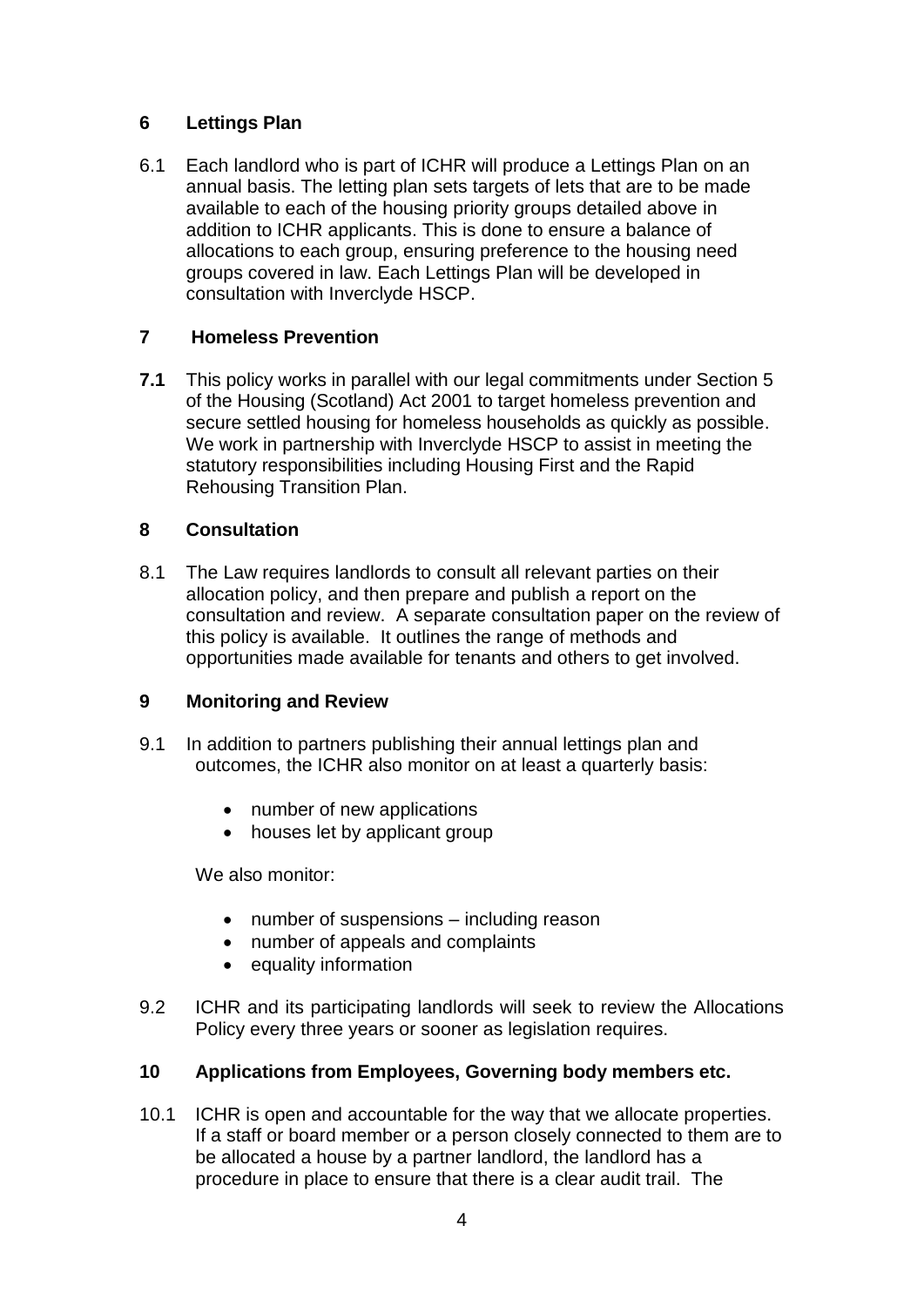# **6 Lettings Plan**

6.1 Each landlord who is part of ICHR will produce a Lettings Plan on an annual basis. The letting plan sets targets of lets that are to be made available to each of the housing priority groups detailed above in addition to ICHR applicants. This is done to ensure a balance of allocations to each group, ensuring preference to the housing need groups covered in law. Each Lettings Plan will be developed in consultation with Inverclyde HSCP.

## **7 Homeless Prevention**

**7.1** This policy works in parallel with our legal commitments under Section 5 of the Housing (Scotland) Act 2001 to target homeless prevention and secure settled housing for homeless households as quickly as possible. We work in partnership with Inverclyde HSCP to assist in meeting the statutory responsibilities including Housing First and the Rapid Rehousing Transition Plan.

### **8 Consultation**

8.1 The Law requires landlords to consult all relevant parties on their allocation policy, and then prepare and publish a report on the consultation and review. A separate consultation paper on the review of this policy is available. It outlines the range of methods and opportunities made available for tenants and others to get involved.

### **9 Monitoring and Review**

- 9.1 In addition to partners publishing their annual lettings plan and outcomes, the ICHR also monitor on at least a quarterly basis:
	- number of new applications
	- houses let by applicant group

We also monitor:

- number of suspensions including reason
- number of appeals and complaints
- equality information
- 9.2 ICHR and its participating landlords will seek to review the Allocations Policy every three years or sooner as legislation requires.

# **10 Applications from Employees, Governing body members etc.**

10.1 ICHR is open and accountable for the way that we allocate properties. If a staff or board member or a person closely connected to them are to be allocated a house by a partner landlord, the landlord has a procedure in place to ensure that there is a clear audit trail. The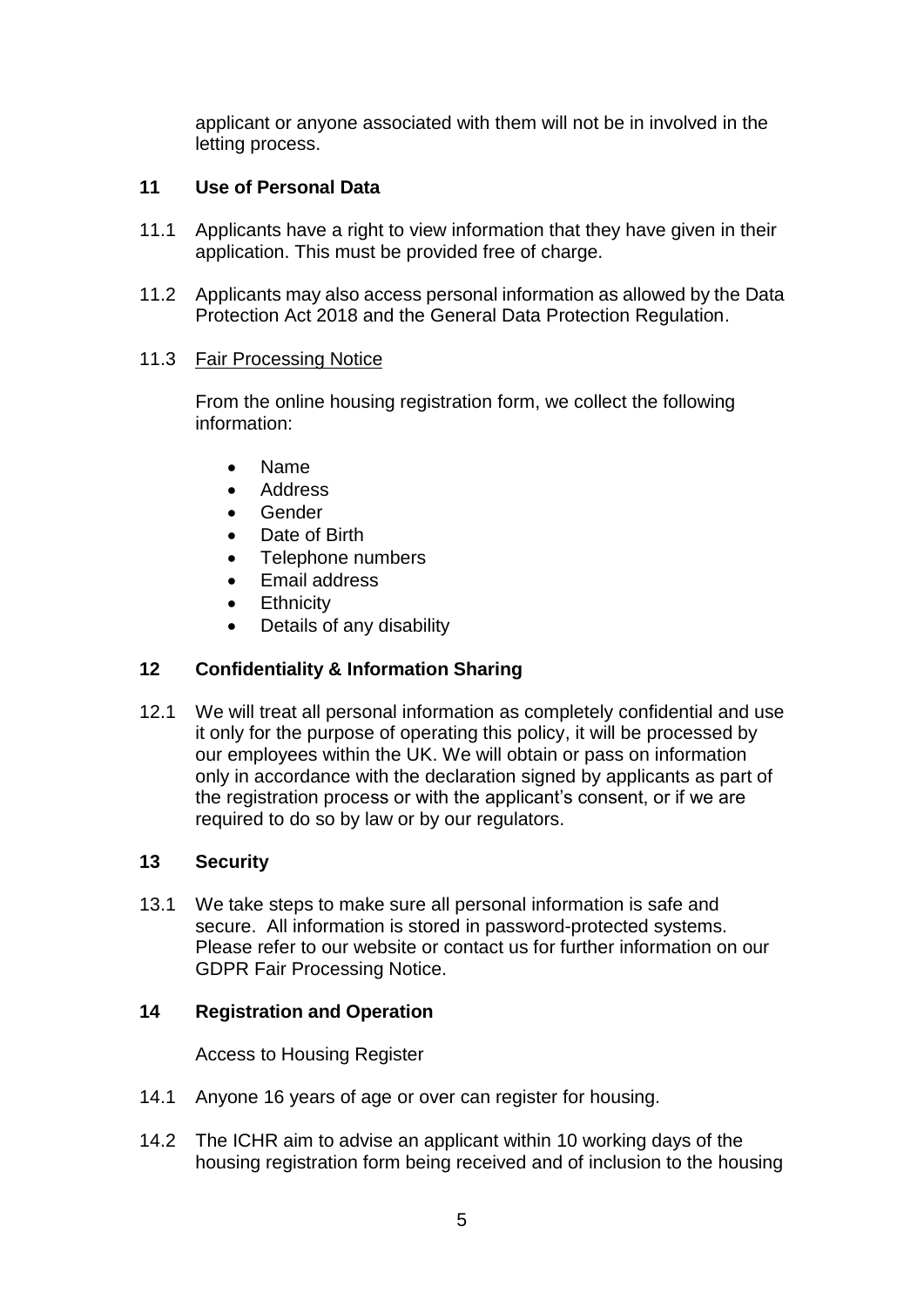applicant or anyone associated with them will not be in involved in the letting process.

# **11 Use of Personal Data**

- 11.1 Applicants have a right to view information that they have given in their application. This must be provided free of charge.
- 11.2 Applicants may also access personal information as allowed by the Data Protection Act 2018 and the General Data Protection Regulation.

### 11.3 Fair Processing Notice

From the online housing registration form, we collect the following information:

- Name
- Address
- Gender
- Date of Birth
- Telephone numbers
- Email address
- **•** Ethnicity
- Details of any disability

# **12 Confidentiality & Information Sharing**

12.1 We will treat all personal information as completely confidential and use it only for the purpose of operating this policy, it will be processed by our employees within the UK. We will obtain or pass on information only in accordance with the declaration signed by applicants as part of the registration process or with the applicant's consent, or if we are required to do so by law or by our regulators.

### **13 Security**

13.1 We take steps to make sure all personal information is safe and secure. All information is stored in password-protected systems. Please refer to our website or contact us for further information on our GDPR Fair Processing Notice.

### **14 Registration and Operation**

Access to Housing Register

- 14.1 Anyone 16 years of age or over can register for housing.
- 14.2 The ICHR aim to advise an applicant within 10 working days of the housing registration form being received and of inclusion to the housing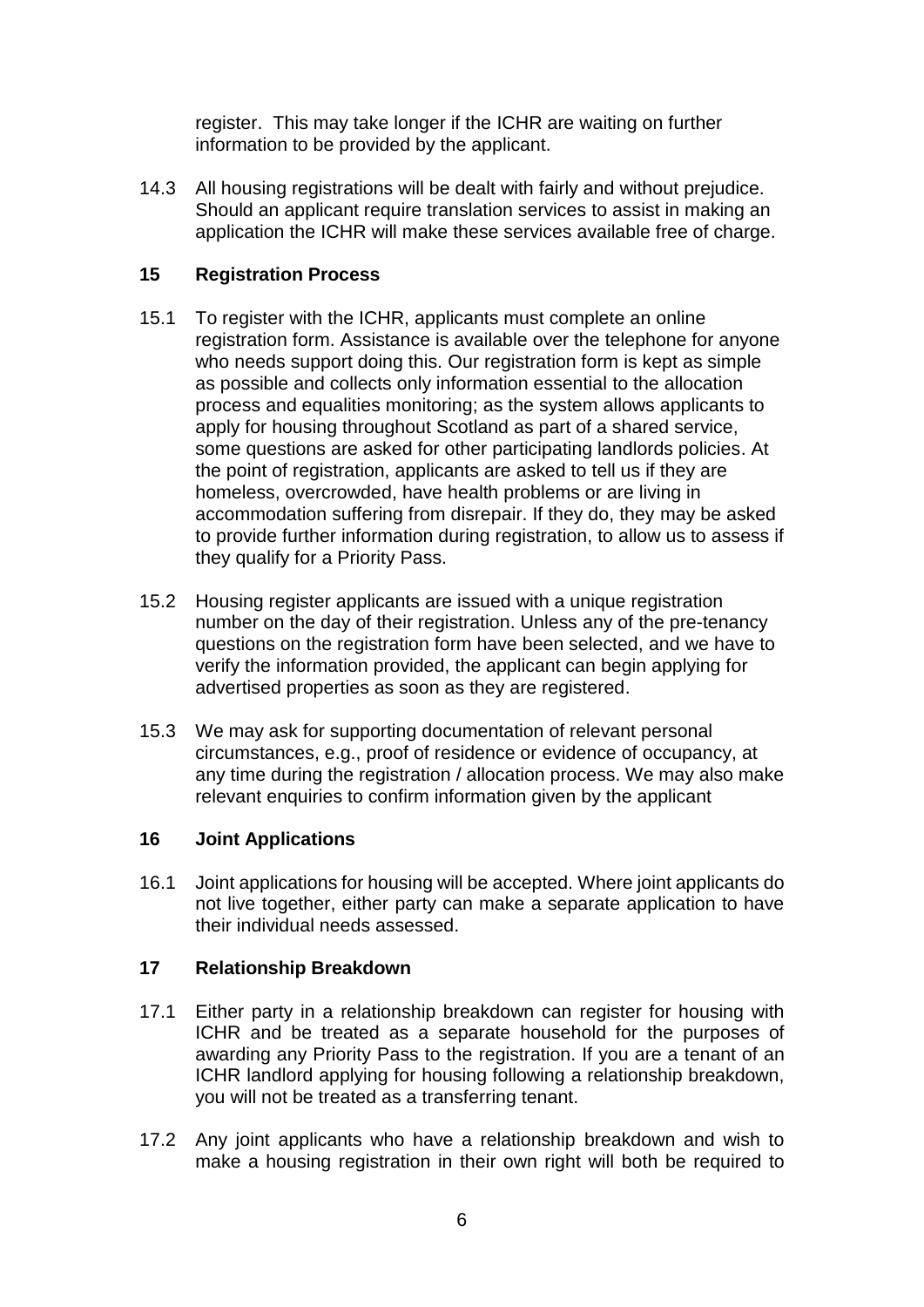register. This may take longer if the ICHR are waiting on further information to be provided by the applicant.

14.3 All housing registrations will be dealt with fairly and without prejudice. Should an applicant require translation services to assist in making an application the ICHR will make these services available free of charge.

# **15 Registration Process**

- 15.1 To register with the ICHR, applicants must complete an online registration form. Assistance is available over the telephone for anyone who needs support doing this. Our registration form is kept as simple as possible and collects only information essential to the allocation process and equalities monitoring; as the system allows applicants to apply for housing throughout Scotland as part of a shared service, some questions are asked for other participating landlords policies. At the point of registration, applicants are asked to tell us if they are homeless, overcrowded, have health problems or are living in accommodation suffering from disrepair. If they do, they may be asked to provide further information during registration, to allow us to assess if they qualify for a Priority Pass.
- 15.2 Housing register applicants are issued with a unique registration number on the day of their registration. Unless any of the pre-tenancy questions on the registration form have been selected, and we have to verify the information provided, the applicant can begin applying for advertised properties as soon as they are registered.
- 15.3 We may ask for supporting documentation of relevant personal circumstances, e.g., proof of residence or evidence of occupancy, at any time during the registration / allocation process. We may also make relevant enquiries to confirm information given by the applicant

# **16 Joint Applications**

16.1 Joint applications for housing will be accepted. Where joint applicants do not live together, either party can make a separate application to have their individual needs assessed.

# **17 Relationship Breakdown**

- 17.1 Either party in a relationship breakdown can register for housing with ICHR and be treated as a separate household for the purposes of awarding any Priority Pass to the registration. If you are a tenant of an ICHR landlord applying for housing following a relationship breakdown, you will not be treated as a transferring tenant.
- 17.2 Any joint applicants who have a relationship breakdown and wish to make a housing registration in their own right will both be required to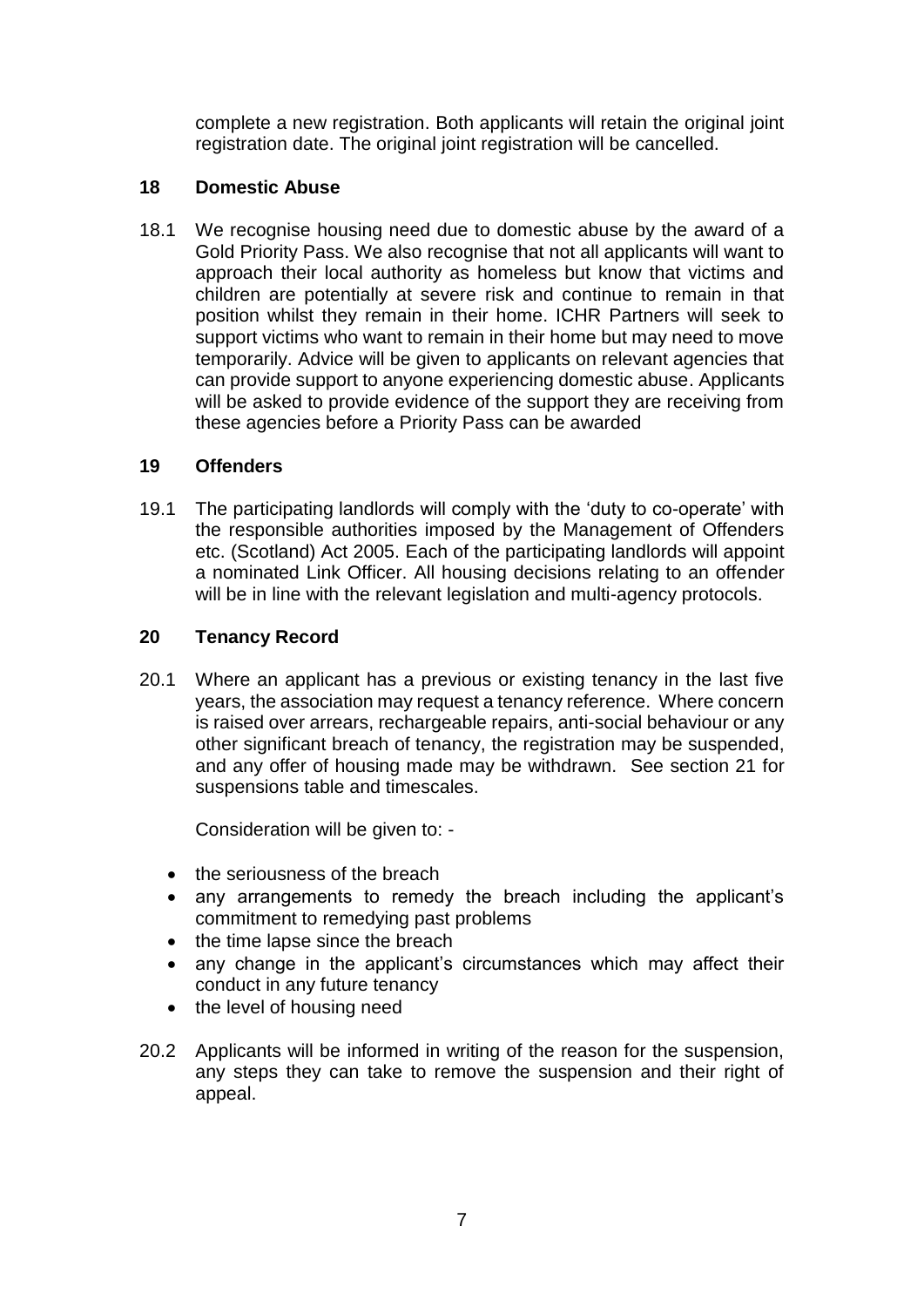complete a new registration. Both applicants will retain the original joint registration date. The original joint registration will be cancelled.

# **18 Domestic Abuse**

18.1 We recognise housing need due to domestic abuse by the award of a Gold Priority Pass. We also recognise that not all applicants will want to approach their local authority as homeless but know that victims and children are potentially at severe risk and continue to remain in that position whilst they remain in their home. ICHR Partners will seek to support victims who want to remain in their home but may need to move temporarily. Advice will be given to applicants on relevant agencies that can provide support to anyone experiencing domestic abuse. Applicants will be asked to provide evidence of the support they are receiving from these agencies before a Priority Pass can be awarded

# **19 Offenders**

19.1 The participating landlords will comply with the 'duty to co-operate' with the responsible authorities imposed by the Management of Offenders etc. (Scotland) Act 2005. Each of the participating landlords will appoint a nominated Link Officer. All housing decisions relating to an offender will be in line with the relevant legislation and multi-agency protocols.

# **20 Tenancy Record**

20.1 Where an applicant has a previous or existing tenancy in the last five years, the association may request a tenancy reference. Where concern is raised over arrears, rechargeable repairs, anti-social behaviour or any other significant breach of tenancy, the registration may be suspended, and any offer of housing made may be withdrawn. See section 21 for suspensions table and timescales.

Consideration will be given to: -

- the seriousness of the breach
- any arrangements to remedy the breach including the applicant's commitment to remedying past problems
- $\bullet$  the time lapse since the breach
- any change in the applicant's circumstances which may affect their conduct in any future tenancy
- the level of housing need
- 20.2 Applicants will be informed in writing of the reason for the suspension, any steps they can take to remove the suspension and their right of appeal.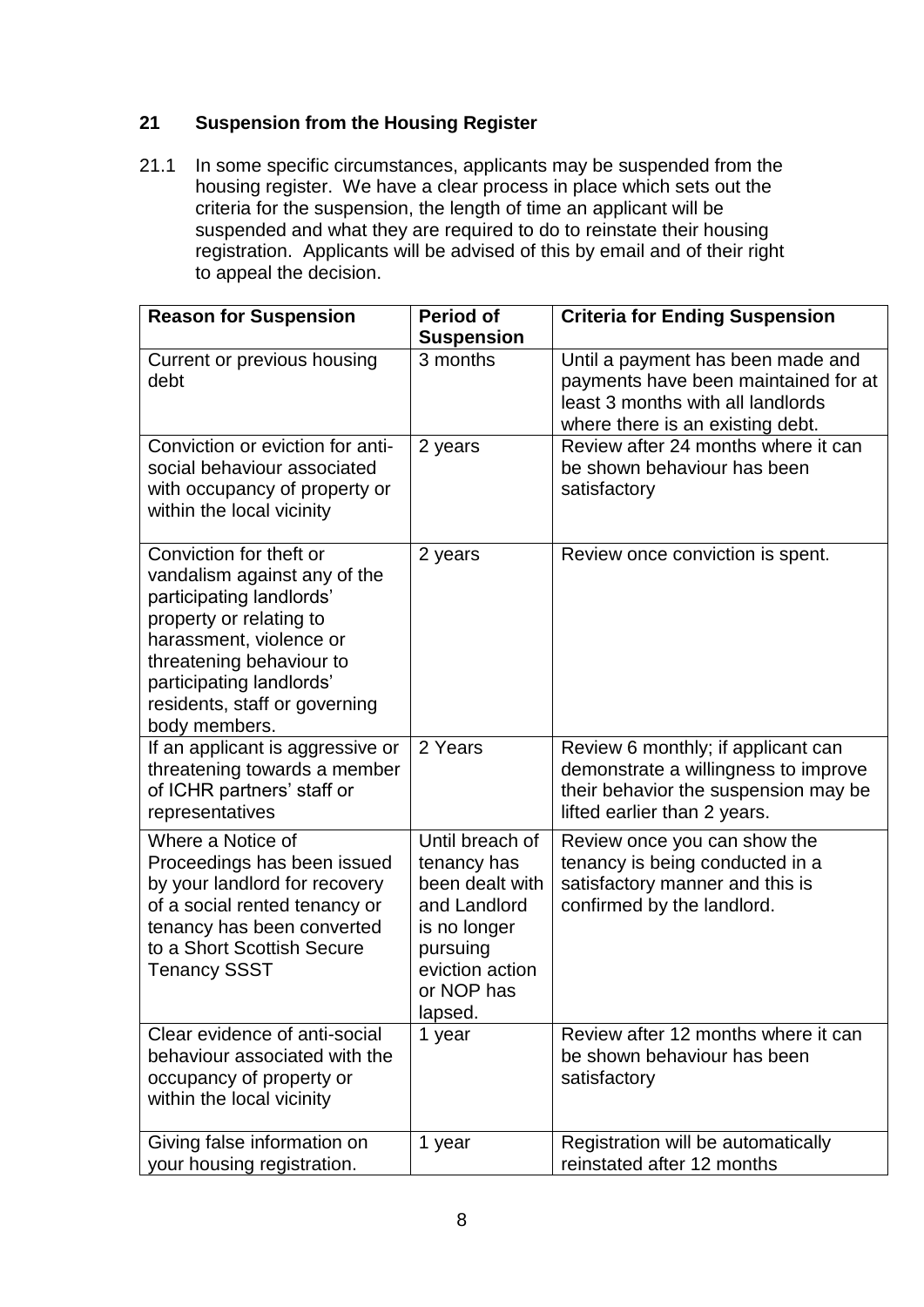# **21 Suspension from the Housing Register**

21.1 In some specific circumstances, applicants may be suspended from the housing register. We have a clear process in place which sets out the criteria for the suspension, the length of time an applicant will be suspended and what they are required to do to reinstate their housing registration. Applicants will be advised of this by email and of their right to appeal the decision.

| <b>Reason for Suspension</b>                                                                                                                                                                                                                        | <b>Period of</b><br><b>Suspension</b>                                                                                                     | <b>Criteria for Ending Suspension</b>                                                                                                              |
|-----------------------------------------------------------------------------------------------------------------------------------------------------------------------------------------------------------------------------------------------------|-------------------------------------------------------------------------------------------------------------------------------------------|----------------------------------------------------------------------------------------------------------------------------------------------------|
| Current or previous housing<br>debt                                                                                                                                                                                                                 | 3 months                                                                                                                                  | Until a payment has been made and<br>payments have been maintained for at<br>least 3 months with all landlords<br>where there is an existing debt. |
| Conviction or eviction for anti-<br>social behaviour associated<br>with occupancy of property or<br>within the local vicinity                                                                                                                       | 2 years                                                                                                                                   | Review after 24 months where it can<br>be shown behaviour has been<br>satisfactory                                                                 |
| Conviction for theft or<br>vandalism against any of the<br>participating landlords'<br>property or relating to<br>harassment, violence or<br>threatening behaviour to<br>participating landlords'<br>residents, staff or governing<br>body members. | 2 years                                                                                                                                   | Review once conviction is spent.                                                                                                                   |
| If an applicant is aggressive or<br>threatening towards a member<br>of ICHR partners' staff or<br>representatives                                                                                                                                   | 2 Years                                                                                                                                   | Review 6 monthly; if applicant can<br>demonstrate a willingness to improve<br>their behavior the suspension may be<br>lifted earlier than 2 years. |
| Where a Notice of<br>Proceedings has been issued<br>by your landlord for recovery<br>of a social rented tenancy or<br>tenancy has been converted<br>to a Short Scottish Secure<br><b>Tenancy SSST</b>                                               | Until breach of<br>tenancy has<br>been dealt with<br>and Landlord<br>is no longer<br>pursuing<br>eviction action<br>or NOP has<br>lapsed. | Review once you can show the<br>tenancy is being conducted in a<br>satisfactory manner and this is<br>confirmed by the landlord.                   |
| Clear evidence of anti-social<br>behaviour associated with the<br>occupancy of property or<br>within the local vicinity                                                                                                                             | 1 year                                                                                                                                    | Review after 12 months where it can<br>be shown behaviour has been<br>satisfactory                                                                 |
| Giving false information on<br>your housing registration.                                                                                                                                                                                           | 1 year                                                                                                                                    | Registration will be automatically<br>reinstated after 12 months                                                                                   |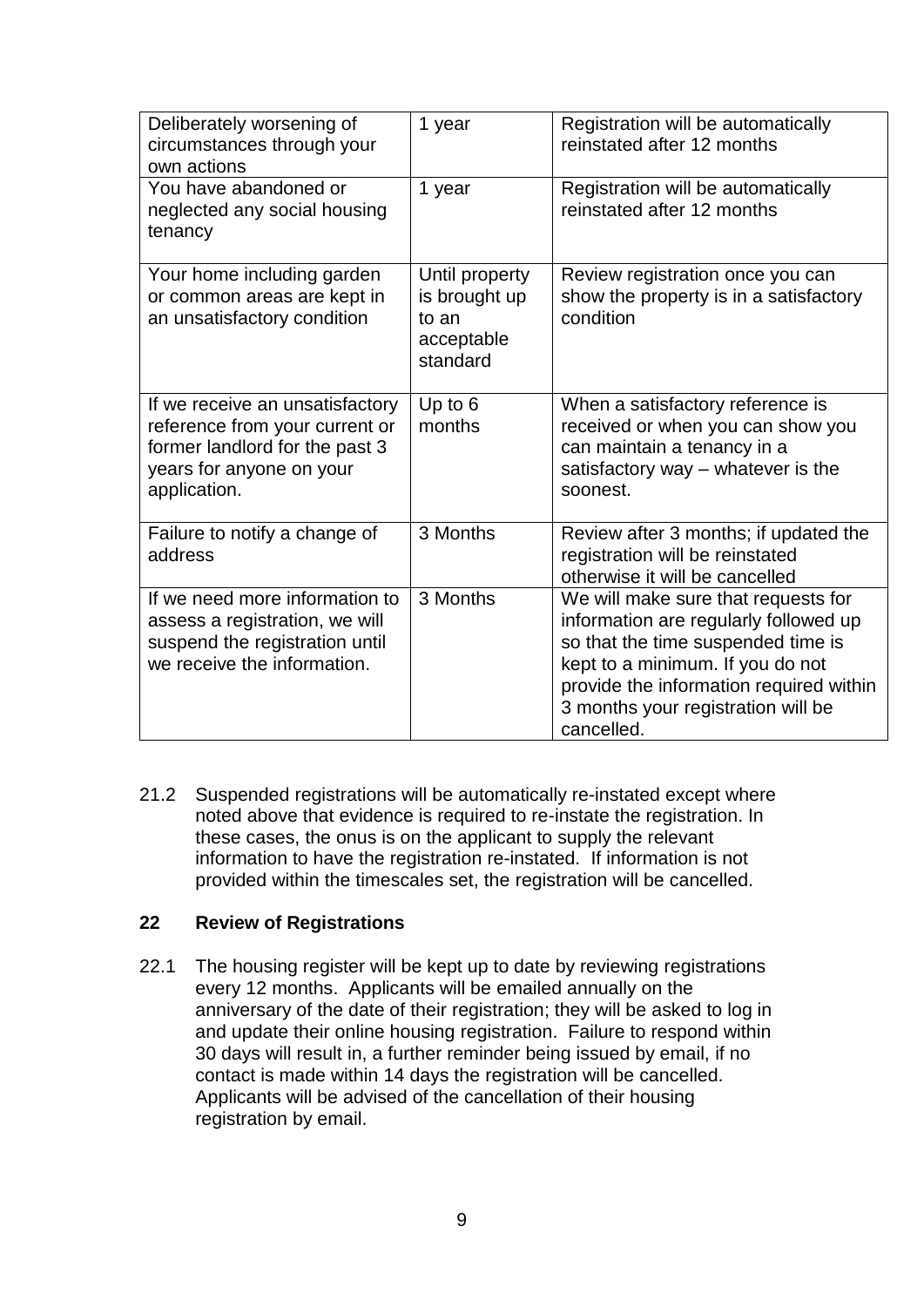| Deliberately worsening of<br>circumstances through your<br>own actions                                                                          | 1 year                                                             | Registration will be automatically<br>reinstated after 12 months                                                                                                                                                                                      |
|-------------------------------------------------------------------------------------------------------------------------------------------------|--------------------------------------------------------------------|-------------------------------------------------------------------------------------------------------------------------------------------------------------------------------------------------------------------------------------------------------|
| You have abandoned or<br>neglected any social housing<br>tenancy                                                                                | 1 year                                                             | Registration will be automatically<br>reinstated after 12 months                                                                                                                                                                                      |
| Your home including garden<br>or common areas are kept in<br>an unsatisfactory condition                                                        | Until property<br>is brought up<br>to an<br>acceptable<br>standard | Review registration once you can<br>show the property is in a satisfactory<br>condition                                                                                                                                                               |
| If we receive an unsatisfactory<br>reference from your current or<br>former landlord for the past 3<br>years for anyone on your<br>application. | Up to 6<br>months                                                  | When a satisfactory reference is<br>received or when you can show you<br>can maintain a tenancy in a<br>satisfactory way - whatever is the<br>soonest.                                                                                                |
| Failure to notify a change of<br>address                                                                                                        | 3 Months                                                           | Review after 3 months; if updated the<br>registration will be reinstated<br>otherwise it will be cancelled                                                                                                                                            |
| If we need more information to<br>assess a registration, we will<br>suspend the registration until<br>we receive the information.               | 3 Months                                                           | We will make sure that requests for<br>information are regularly followed up<br>so that the time suspended time is<br>kept to a minimum. If you do not<br>provide the information required within<br>3 months your registration will be<br>cancelled. |

21.2 Suspended registrations will be automatically re-instated except where noted above that evidence is required to re-instate the registration. In these cases, the onus is on the applicant to supply the relevant information to have the registration re-instated. If information is not provided within the timescales set, the registration will be cancelled.

# **22 Review of Registrations**

22.1 The housing register will be kept up to date by reviewing registrations every 12 months. Applicants will be emailed annually on the anniversary of the date of their registration; they will be asked to log in and update their online housing registration. Failure to respond within 30 days will result in, a further reminder being issued by email, if no contact is made within 14 days the registration will be cancelled. Applicants will be advised of the cancellation of their housing registration by email.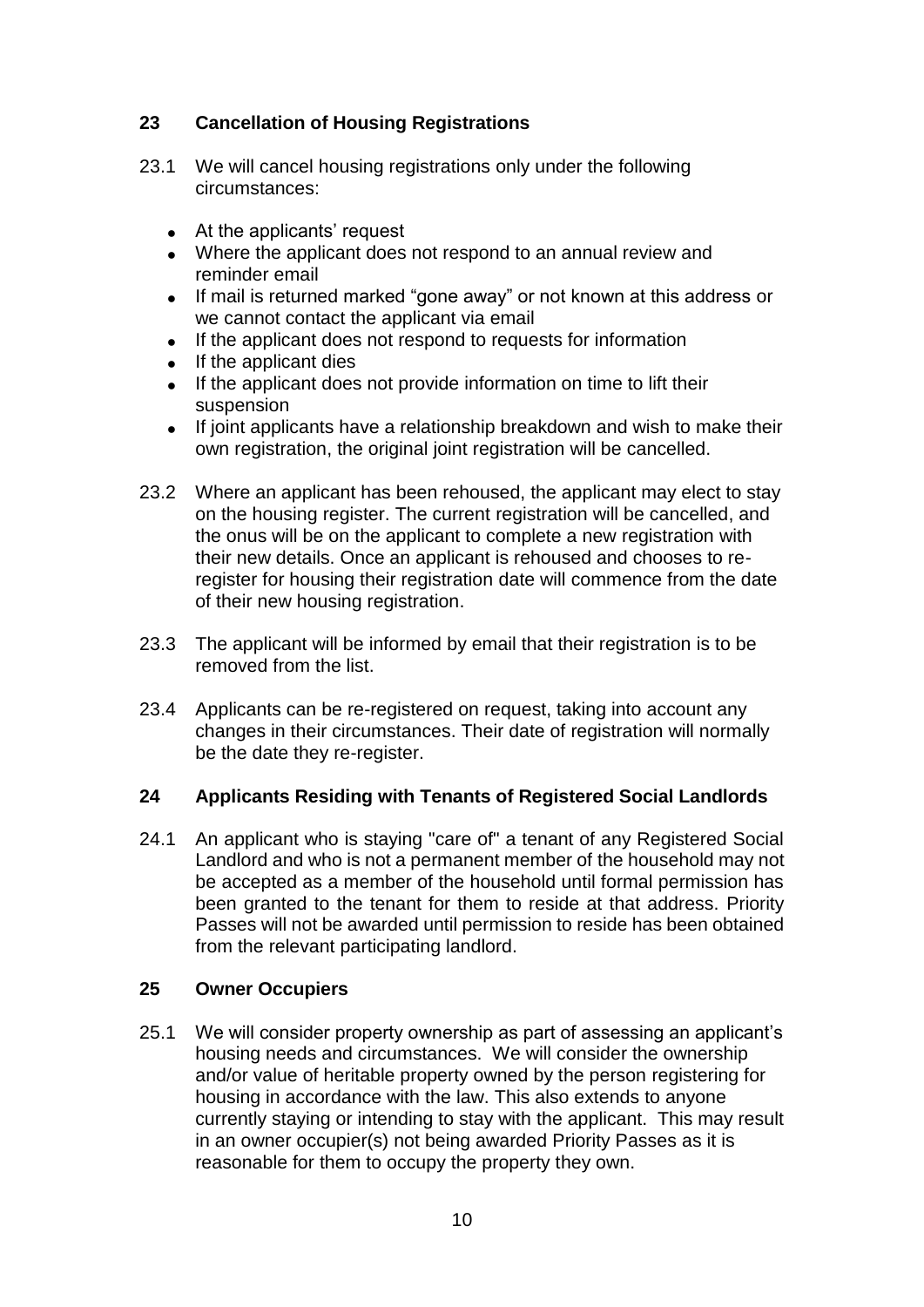# **23 Cancellation of Housing Registrations**

- 23.1 We will cancel housing registrations only under the following circumstances:
	- At the applicants' request
	- Where the applicant does not respond to an annual review and reminder email
	- If mail is returned marked "gone away" or not known at this address or we cannot contact the applicant via email
	- If the applicant does not respond to requests for information
	- If the applicant dies
	- If the applicant does not provide information on time to lift their suspension
	- If joint applicants have a relationship breakdown and wish to make their own registration, the original joint registration will be cancelled.
- 23.2 Where an applicant has been rehoused, the applicant may elect to stay on the housing register. The current registration will be cancelled, and the onus will be on the applicant to complete a new registration with their new details. Once an applicant is rehoused and chooses to reregister for housing their registration date will commence from the date of their new housing registration.
- 23.3 The applicant will be informed by email that their registration is to be removed from the list.
- 23.4 Applicants can be re-registered on request, taking into account any changes in their circumstances. Their date of registration will normally be the date they re-register.

# **24 Applicants Residing with Tenants of Registered Social Landlords**

24.1 An applicant who is staying "care of" a tenant of any Registered Social Landlord and who is not a permanent member of the household may not be accepted as a member of the household until formal permission has been granted to the tenant for them to reside at that address. Priority Passes will not be awarded until permission to reside has been obtained from the relevant participating landlord.

### **25 Owner Occupiers**

25.1 We will consider property ownership as part of assessing an applicant's housing needs and circumstances.We will consider the ownership and/or value of heritable property owned by the person registering for housing in accordance with the law. This also extends to anyone currently staying or intending to stay with the applicant. This may result in an owner occupier(s) not being awarded Priority Passes as it is reasonable for them to occupy the property they own.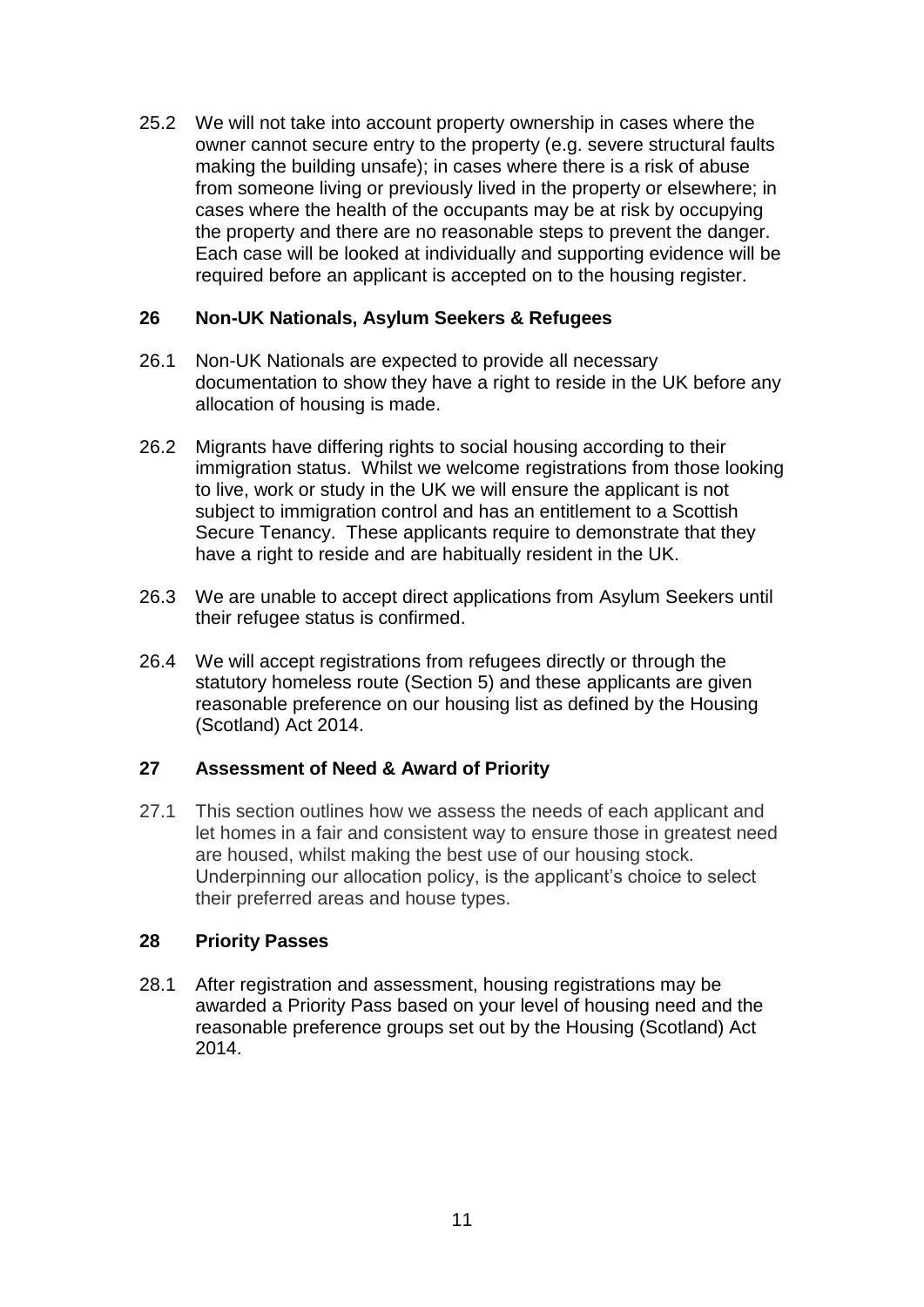25.2 We will not take into account property ownership in cases where the owner cannot secure entry to the property (e.g. severe structural faults making the building unsafe); in cases where there is a risk of abuse from someone living or previously lived in the property or elsewhere; in cases where the health of the occupants may be at risk by occupying the property and there are no reasonable steps to prevent the danger. Each case will be looked at individually and supporting evidence will be required before an applicant is accepted on to the housing register.

### **26 Non-UK Nationals, Asylum Seekers & Refugees**

- 26.1 Non-UK Nationals are expected to provide all necessary documentation to show they have a right to reside in the UK before any allocation of housing is made.
- 26.2 Migrants have differing rights to social housing according to their immigration status. Whilst we welcome registrations from those looking to live, work or study in the UK we will ensure the applicant is not subject to immigration control and has an entitlement to a Scottish Secure Tenancy. These applicants require to demonstrate that they have a right to reside and are habitually resident in the UK.
- 26.3 We are unable to accept direct applications from Asylum Seekers until their refugee status is confirmed.
- 26.4 We will accept registrations from refugees directly or through the statutory homeless route (Section 5) and these applicants are given reasonable preference on our housing list as defined by the Housing (Scotland) Act 2014.

### **27 Assessment of Need & Award of Priority**

27.1 This section outlines how we assess the needs of each applicant and let homes in a fair and consistent way to ensure those in greatest need are housed, whilst making the best use of our housing stock. Underpinning our allocation policy, is the applicant's choice to select their preferred areas and house types.

### **28 Priority Passes**

28.1 After registration and assessment, housing registrations may be awarded a Priority Pass based on your level of housing need and the reasonable preference groups set out by the Housing (Scotland) Act 2014.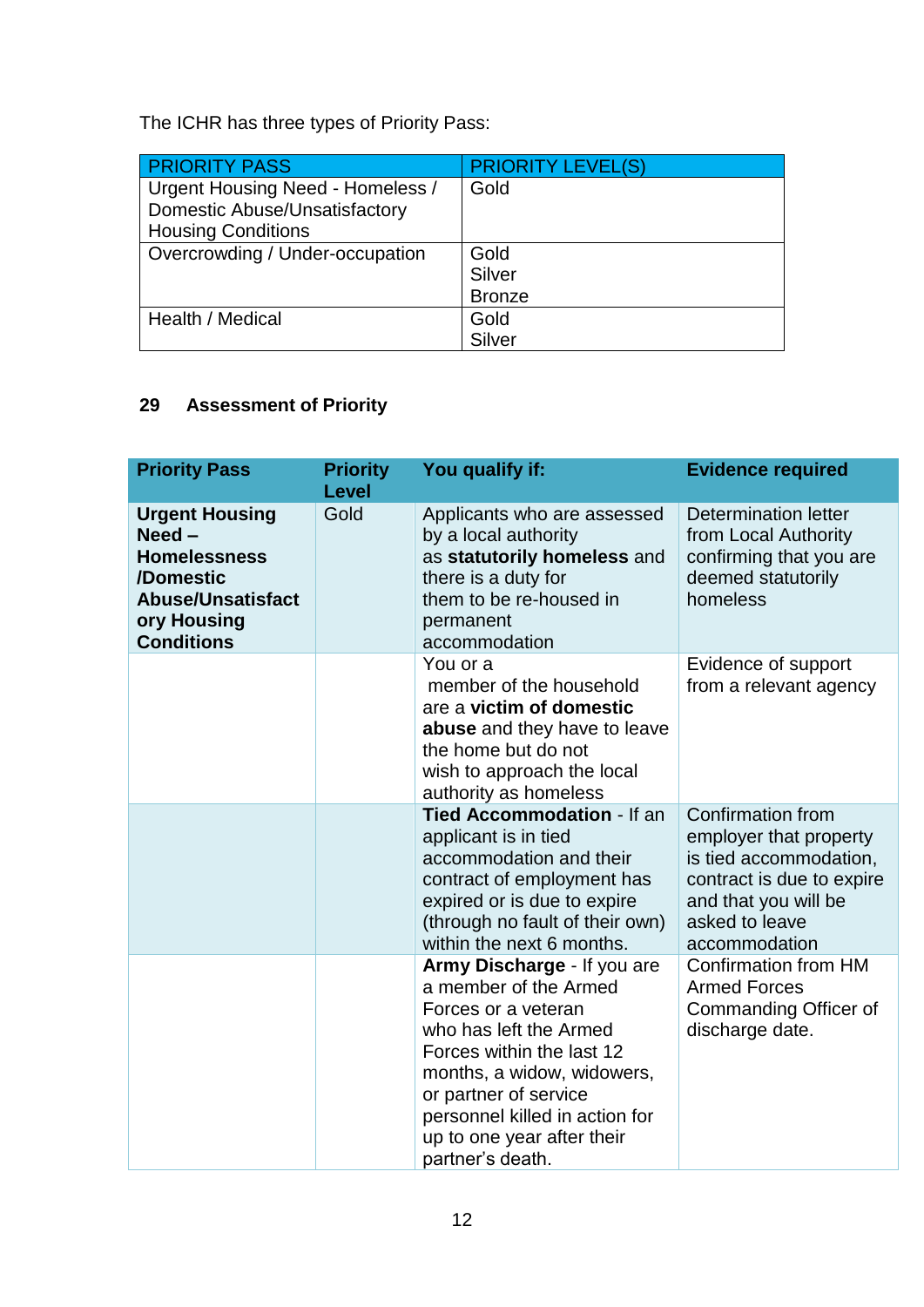The ICHR has three types of Priority Pass:

| <b>PRIORITY PASS</b>                 | <b>PRIORITY LEVEL(S)</b> |
|--------------------------------------|--------------------------|
| Urgent Housing Need - Homeless /     | Gold                     |
| <b>Domestic Abuse/Unsatisfactory</b> |                          |
| <b>Housing Conditions</b>            |                          |
| Overcrowding / Under-occupation      | Gold                     |
|                                      | Silver                   |
|                                      | <b>Bronze</b>            |
| Health / Medical                     | Gold                     |
|                                      | Silver                   |

# **29 Assessment of Priority**

| <b>Priority Pass</b>                                                                                                                  | <b>Priority</b><br><b>Level</b> | You qualify if:                                                                                                                                                                                                                                                               | <b>Evidence required</b>                                                                                                                                      |
|---------------------------------------------------------------------------------------------------------------------------------------|---------------------------------|-------------------------------------------------------------------------------------------------------------------------------------------------------------------------------------------------------------------------------------------------------------------------------|---------------------------------------------------------------------------------------------------------------------------------------------------------------|
| <b>Urgent Housing</b><br>$Need -$<br><b>Homelessness</b><br>/Domestic<br><b>Abuse/Unsatisfact</b><br>ory Housing<br><b>Conditions</b> | Gold                            | Applicants who are assessed<br>by a local authority<br>as statutorily homeless and<br>there is a duty for<br>them to be re-housed in<br>permanent<br>accommodation                                                                                                            | Determination letter<br>from Local Authority<br>confirming that you are<br>deemed statutorily<br>homeless                                                     |
|                                                                                                                                       |                                 | You or a<br>member of the household<br>are a victim of domestic<br>abuse and they have to leave<br>the home but do not<br>wish to approach the local<br>authority as homeless                                                                                                 | Evidence of support<br>from a relevant agency                                                                                                                 |
|                                                                                                                                       |                                 | <b>Tied Accommodation - If an</b><br>applicant is in tied<br>accommodation and their<br>contract of employment has<br>expired or is due to expire<br>(through no fault of their own)<br>within the next 6 months.                                                             | Confirmation from<br>employer that property<br>is tied accommodation,<br>contract is due to expire<br>and that you will be<br>asked to leave<br>accommodation |
|                                                                                                                                       |                                 | Army Discharge - If you are<br>a member of the Armed<br>Forces or a veteran<br>who has left the Armed<br>Forces within the last 12<br>months, a widow, widowers,<br>or partner of service<br>personnel killed in action for<br>up to one year after their<br>partner's death. | <b>Confirmation from HM</b><br><b>Armed Forces</b><br>Commanding Officer of<br>discharge date.                                                                |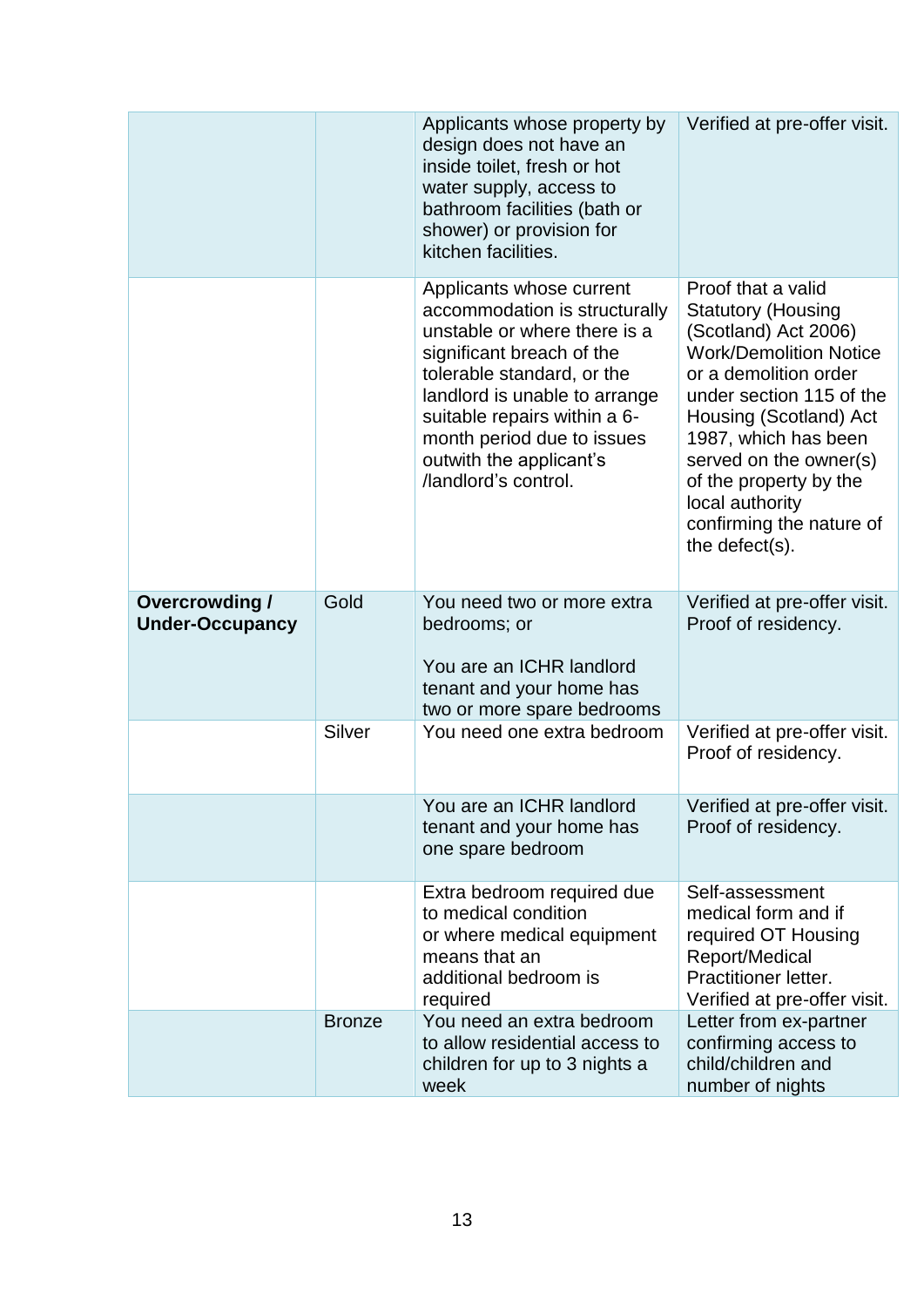|                                                 |               | Applicants whose property by<br>design does not have an<br>inside toilet, fresh or hot<br>water supply, access to<br>bathroom facilities (bath or<br>shower) or provision for<br>kitchen facilities.                                                                                                   | Verified at pre-offer visit.                                                                                                                                                                                                                                                                                                         |
|-------------------------------------------------|---------------|--------------------------------------------------------------------------------------------------------------------------------------------------------------------------------------------------------------------------------------------------------------------------------------------------------|--------------------------------------------------------------------------------------------------------------------------------------------------------------------------------------------------------------------------------------------------------------------------------------------------------------------------------------|
|                                                 |               | Applicants whose current<br>accommodation is structurally<br>unstable or where there is a<br>significant breach of the<br>tolerable standard, or the<br>landlord is unable to arrange<br>suitable repairs within a 6-<br>month period due to issues<br>outwith the applicant's<br>/landlord's control. | Proof that a valid<br><b>Statutory (Housing</b><br>(Scotland) Act 2006)<br><b>Work/Demolition Notice</b><br>or a demolition order<br>under section 115 of the<br>Housing (Scotland) Act<br>1987, which has been<br>served on the owner(s)<br>of the property by the<br>local authority<br>confirming the nature of<br>the defect(s). |
| <b>Overcrowding /</b><br><b>Under-Occupancy</b> | Gold          | You need two or more extra<br>bedrooms; or<br>You are an ICHR landlord<br>tenant and your home has<br>two or more spare bedrooms                                                                                                                                                                       | Verified at pre-offer visit.<br>Proof of residency.                                                                                                                                                                                                                                                                                  |
|                                                 | Silver        | You need one extra bedroom                                                                                                                                                                                                                                                                             | Verified at pre-offer visit.<br>Proof of residency.                                                                                                                                                                                                                                                                                  |
|                                                 |               | You are an ICHR landlord<br>tenant and your home has<br>one spare bedroom                                                                                                                                                                                                                              | Verified at pre-offer visit.<br>Proof of residency.                                                                                                                                                                                                                                                                                  |
|                                                 |               | Extra bedroom required due<br>to medical condition<br>or where medical equipment<br>means that an<br>additional bedroom is<br>required                                                                                                                                                                 | Self-assessment<br>medical form and if<br>required OT Housing<br>Report/Medical<br>Practitioner letter.<br>Verified at pre-offer visit.                                                                                                                                                                                              |
|                                                 | <b>Bronze</b> | You need an extra bedroom<br>to allow residential access to<br>children for up to 3 nights a<br>week                                                                                                                                                                                                   | Letter from ex-partner<br>confirming access to<br>child/children and<br>number of nights                                                                                                                                                                                                                                             |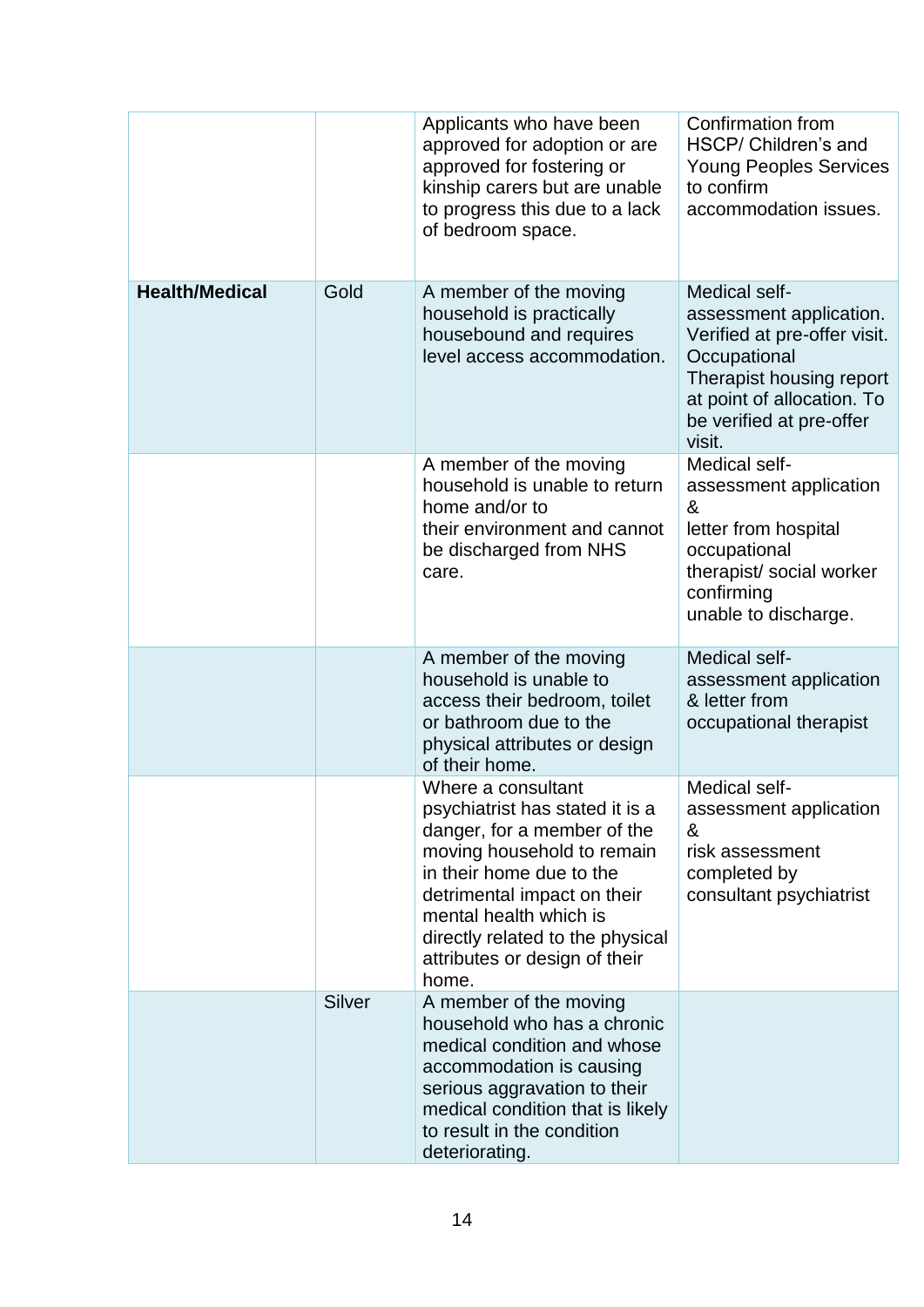|                       |               | Applicants who have been<br>approved for adoption or are<br>approved for fostering or<br>kinship carers but are unable<br>to progress this due to a lack<br>of bedroom space.                                                                                                         | <b>Confirmation from</b><br>HSCP/ Children's and<br><b>Young Peoples Services</b><br>to confirm<br>accommodation issues.                                                                 |
|-----------------------|---------------|---------------------------------------------------------------------------------------------------------------------------------------------------------------------------------------------------------------------------------------------------------------------------------------|------------------------------------------------------------------------------------------------------------------------------------------------------------------------------------------|
| <b>Health/Medical</b> | Gold          | A member of the moving<br>household is practically<br>housebound and requires<br>level access accommodation.                                                                                                                                                                          | Medical self-<br>assessment application.<br>Verified at pre-offer visit.<br>Occupational<br>Therapist housing report<br>at point of allocation. To<br>be verified at pre-offer<br>visit. |
|                       |               | A member of the moving<br>household is unable to return<br>home and/or to<br>their environment and cannot<br>be discharged from NHS<br>care.                                                                                                                                          | Medical self-<br>assessment application<br>&<br>letter from hospital<br>occupational<br>therapist/ social worker<br>confirming<br>unable to discharge.                                   |
|                       |               | A member of the moving<br>household is unable to<br>access their bedroom, toilet<br>or bathroom due to the<br>physical attributes or design<br>of their home.                                                                                                                         | Medical self-<br>assessment application<br>& letter from<br>occupational therapist                                                                                                       |
|                       |               | Where a consultant<br>psychiatrist has stated it is a<br>danger, for a member of the<br>moving household to remain<br>in their home due to the<br>detrimental impact on their<br>mental health which is<br>directly related to the physical<br>attributes or design of their<br>home. | Medical self-<br>assessment application<br>&<br>risk assessment<br>completed by<br>consultant psychiatrist                                                                               |
|                       | <b>Silver</b> | A member of the moving<br>household who has a chronic<br>medical condition and whose<br>accommodation is causing<br>serious aggravation to their<br>medical condition that is likely<br>to result in the condition<br>deteriorating.                                                  |                                                                                                                                                                                          |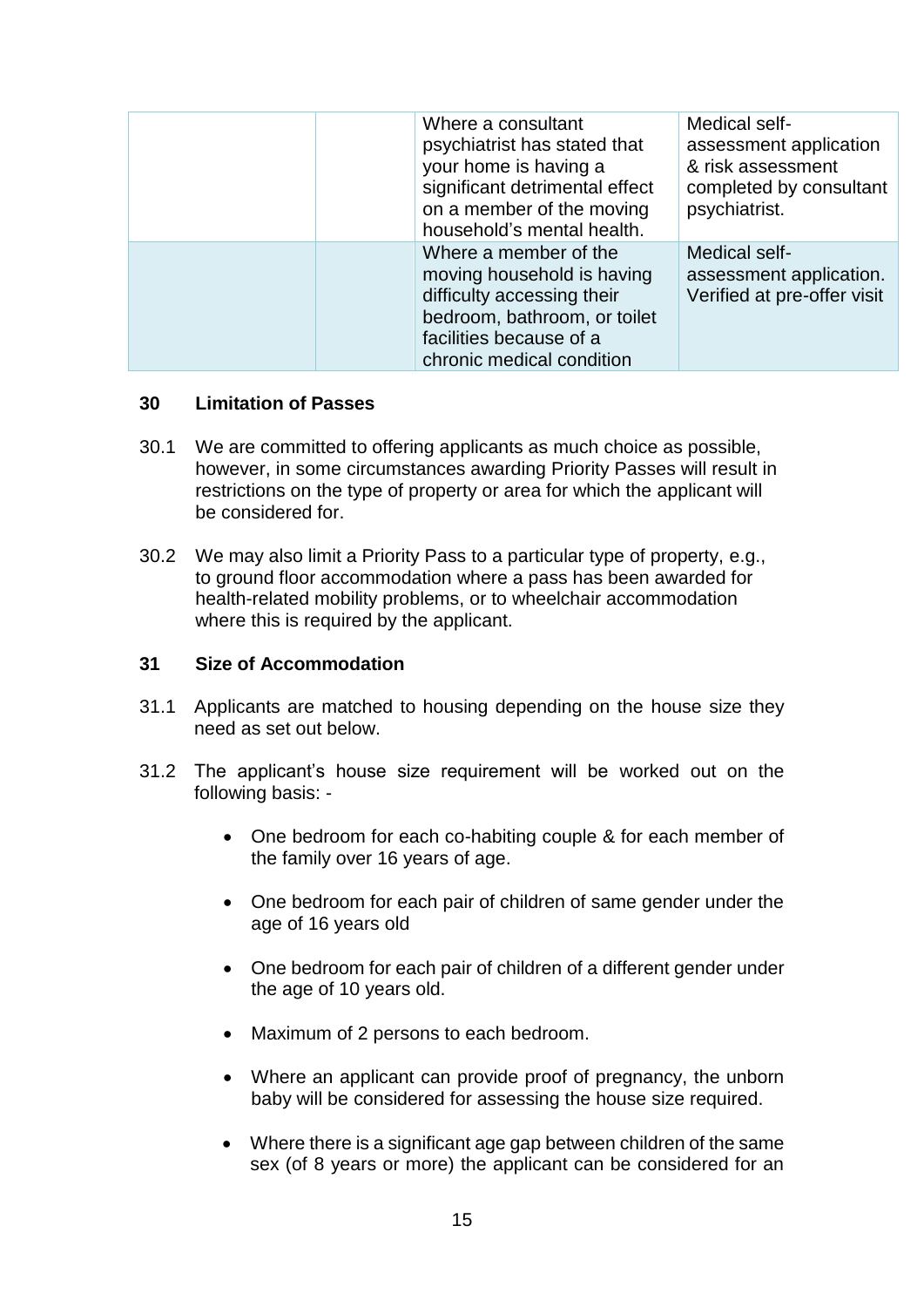| Where a consultant<br>psychiatrist has stated that<br>your home is having a<br>significant detrimental effect<br>on a member of the moving<br>household's mental health.  | Medical self-<br>assessment application<br>& risk assessment<br>completed by consultant<br>psychiatrist. |
|---------------------------------------------------------------------------------------------------------------------------------------------------------------------------|----------------------------------------------------------------------------------------------------------|
| Where a member of the<br>moving household is having<br>difficulty accessing their<br>bedroom, bathroom, or toilet<br>facilities because of a<br>chronic medical condition | Medical self-<br>assessment application.<br>Verified at pre-offer visit                                  |

### **30 Limitation of Passes**

- 30.1 We are committed to offering applicants as much choice as possible, however, in some circumstances awarding Priority Passes will result in restrictions on the type of property or area for which the applicant will be considered for.
- 30.2 We may also limit a Priority Pass to a particular type of property, e.g., to ground floor accommodation where a pass has been awarded for health-related mobility problems, or to wheelchair accommodation where this is required by the applicant.

#### **31 Size of Accommodation**

- 31.1 Applicants are matched to housing depending on the house size they need as set out below.
- 31.2 The applicant's house size requirement will be worked out on the following basis: -
	- One bedroom for each co-habiting couple & for each member of the family over 16 years of age.
	- One bedroom for each pair of children of same gender under the age of 16 years old
	- One bedroom for each pair of children of a different gender under the age of 10 years old.
	- Maximum of 2 persons to each bedroom.
	- Where an applicant can provide proof of pregnancy, the unborn baby will be considered for assessing the house size required.
	- Where there is a significant age gap between children of the same sex (of 8 years or more) the applicant can be considered for an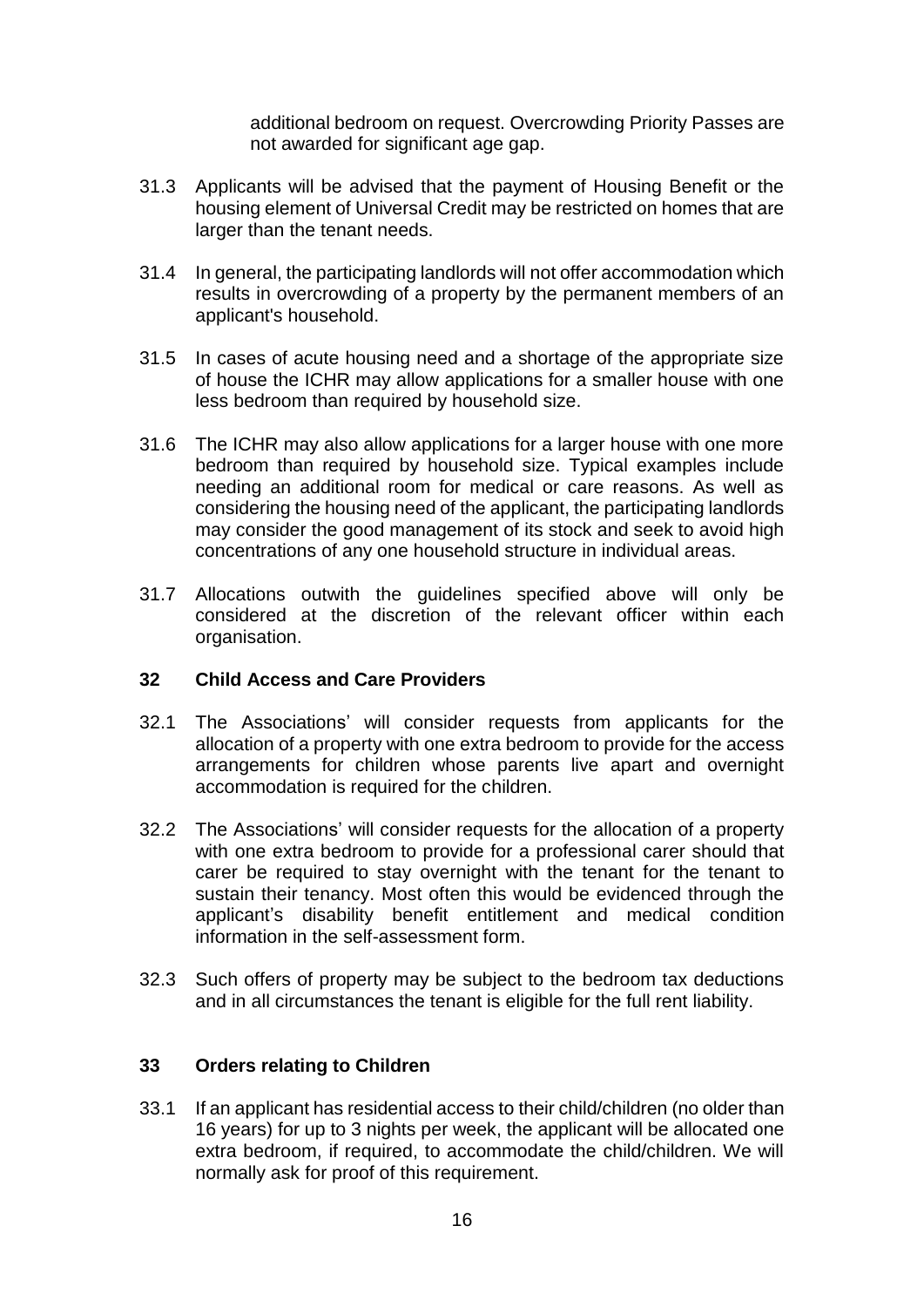additional bedroom on request. Overcrowding Priority Passes are not awarded for significant age gap.

- 31.3 Applicants will be advised that the payment of Housing Benefit or the housing element of Universal Credit may be restricted on homes that are larger than the tenant needs.
- 31.4 In general, the participating landlords will not offer accommodation which results in overcrowding of a property by the permanent members of an applicant's household.
- 31.5 In cases of acute housing need and a shortage of the appropriate size of house the ICHR may allow applications for a smaller house with one less bedroom than required by household size.
- 31.6 The ICHR may also allow applications for a larger house with one more bedroom than required by household size. Typical examples include needing an additional room for medical or care reasons. As well as considering the housing need of the applicant, the participating landlords may consider the good management of its stock and seek to avoid high concentrations of any one household structure in individual areas.
- 31.7 Allocations outwith the guidelines specified above will only be considered at the discretion of the relevant officer within each organisation.

### **32 Child Access and Care Providers**

- 32.1 The Associations' will consider requests from applicants for the allocation of a property with one extra bedroom to provide for the access arrangements for children whose parents live apart and overnight accommodation is required for the children.
- 32.2 The Associations' will consider requests for the allocation of a property with one extra bedroom to provide for a professional carer should that carer be required to stay overnight with the tenant for the tenant to sustain their tenancy. Most often this would be evidenced through the applicant's disability benefit entitlement and medical condition information in the self-assessment form.
- 32.3 Such offers of property may be subject to the bedroom tax deductions and in all circumstances the tenant is eligible for the full rent liability.

### **33 Orders relating to Children**

33.1 If an applicant has residential access to their child/children (no older than 16 years) for up to 3 nights per week, the applicant will be allocated one extra bedroom, if required, to accommodate the child/children. We will normally ask for proof of this requirement.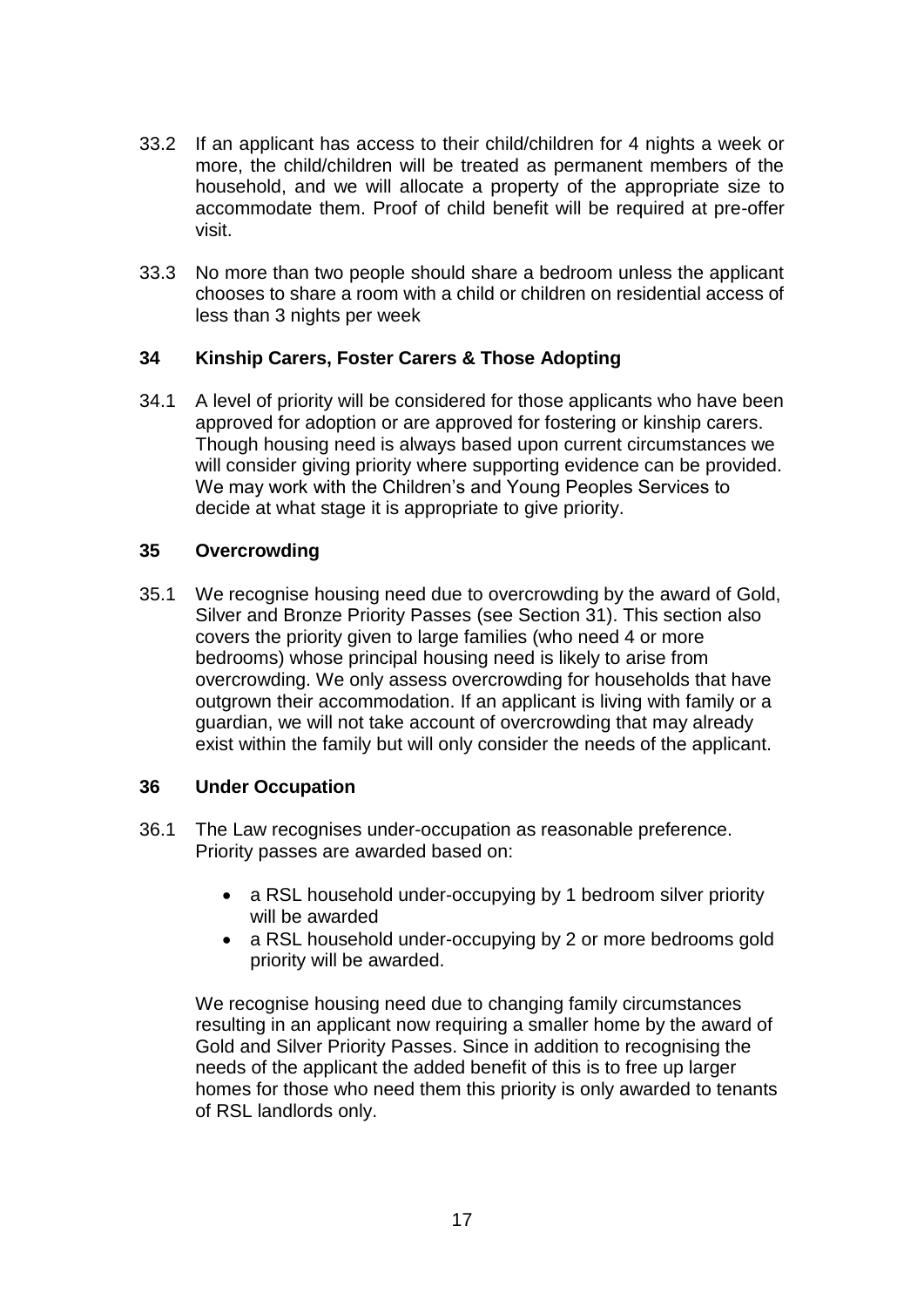- 33.2 If an applicant has access to their child/children for 4 nights a week or more, the child/children will be treated as permanent members of the household, and we will allocate a property of the appropriate size to accommodate them. Proof of child benefit will be required at pre-offer visit.
- 33.3 No more than two people should share a bedroom unless the applicant chooses to share a room with a child or children on residential access of less than 3 nights per week

### **34 Kinship Carers, Foster Carers & Those Adopting**

34.1 A level of priority will be considered for those applicants who have been approved for adoption or are approved for fostering or kinship carers. Though housing need is always based upon current circumstances we will consider giving priority where supporting evidence can be provided. We may work with the Children's and Young Peoples Services to decide at what stage it is appropriate to give priority.

### **35 Overcrowding**

35.1 We recognise housing need due to overcrowding by the award of Gold, Silver and Bronze Priority Passes (see Section 31). This section also covers the priority given to large families (who need 4 or more bedrooms) whose principal housing need is likely to arise from overcrowding. We only assess overcrowding for households that have outgrown their accommodation. If an applicant is living with family or a guardian, we will not take account of overcrowding that may already exist within the family but will only consider the needs of the applicant.

### **36 Under Occupation**

- 36.1 The Law recognises under-occupation as reasonable preference. Priority passes are awarded based on:
	- a RSL household under-occupying by 1 bedroom silver priority will be awarded
	- a RSL household under-occupying by 2 or more bedrooms gold priority will be awarded.

We recognise housing need due to changing family circumstances resulting in an applicant now requiring a smaller home by the award of Gold and Silver Priority Passes. Since in addition to recognising the needs of the applicant the added benefit of this is to free up larger homes for those who need them this priority is only awarded to tenants of RSL landlords only.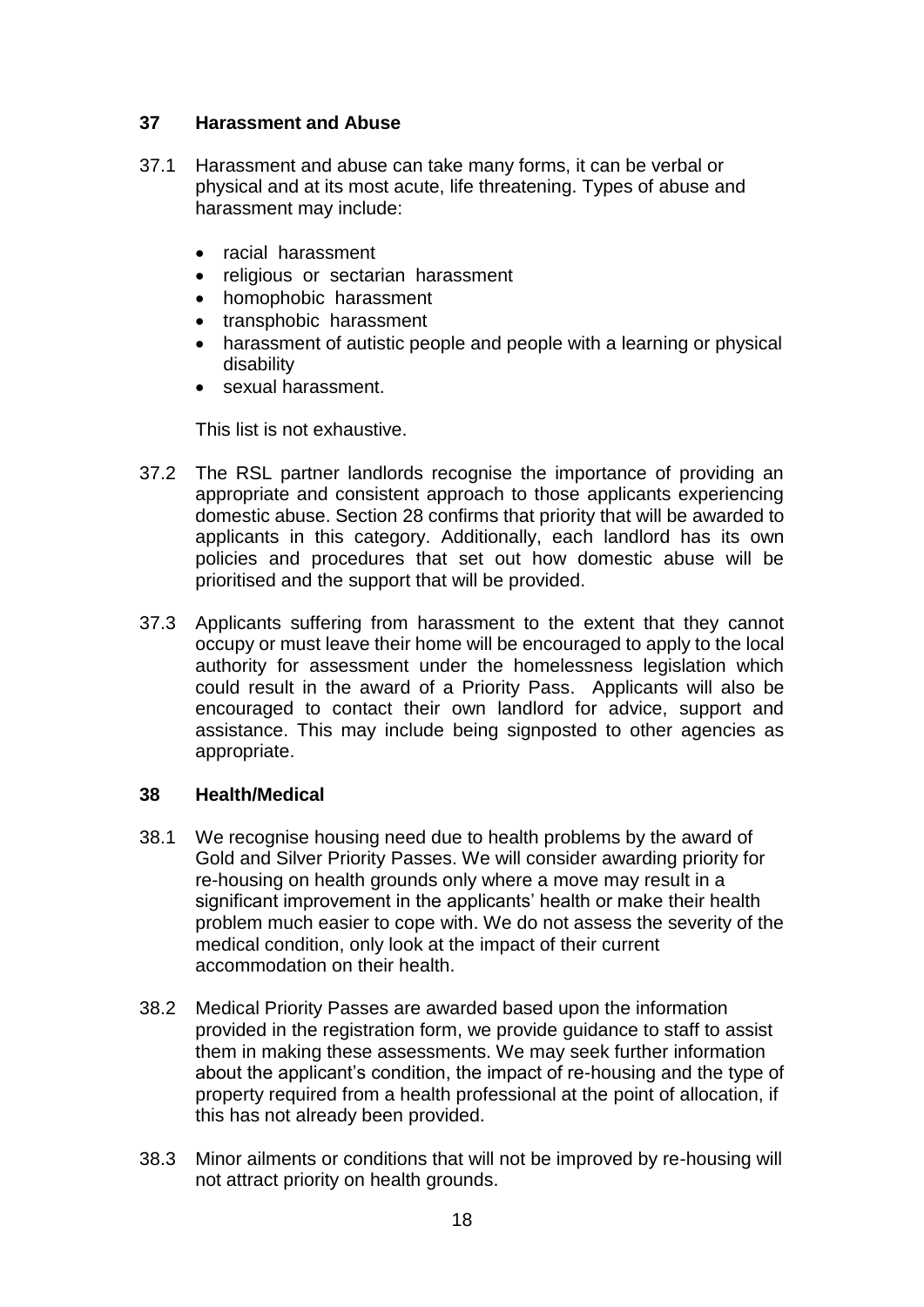## **37 Harassment and Abuse**

- 37.1 Harassment and abuse can take many forms, it can be verbal or physical and at its most acute, life threatening. Types of abuse and harassment may include:
	- racial harassment
	- religious or sectarian harassment
	- homophobic harassment
	- transphobic harassment
	- harassment of autistic people and people with a learning or physical disability
	- sexual harassment.

This list is not exhaustive.

- 37.2 The RSL partner landlords recognise the importance of providing an appropriate and consistent approach to those applicants experiencing domestic abuse. Section 28 confirms that priority that will be awarded to applicants in this category. Additionally, each landlord has its own policies and procedures that set out how domestic abuse will be prioritised and the support that will be provided.
- 37.3 Applicants suffering from harassment to the extent that they cannot occupy or must leave their home will be encouraged to apply to the local authority for assessment under the homelessness legislation which could result in the award of a Priority Pass. Applicants will also be encouraged to contact their own landlord for advice, support and assistance. This may include being signposted to other agencies as appropriate.

### **38 Health/Medical**

- 38.1 We recognise housing need due to health problems by the award of Gold and Silver Priority Passes. We will consider awarding priority for re-housing on health grounds only where a move may result in a significant improvement in the applicants' health or make their health problem much easier to cope with. We do not assess the severity of the medical condition, only look at the impact of their current accommodation on their health.
- 38.2 Medical Priority Passes are awarded based upon the information provided in the registration form, we provide guidance to staff to assist them in making these assessments. We may seek further information about the applicant's condition, the impact of re-housing and the type of property required from a health professional at the point of allocation, if this has not already been provided.
- 38.3 Minor ailments or conditions that will not be improved by re-housing will not attract priority on health grounds.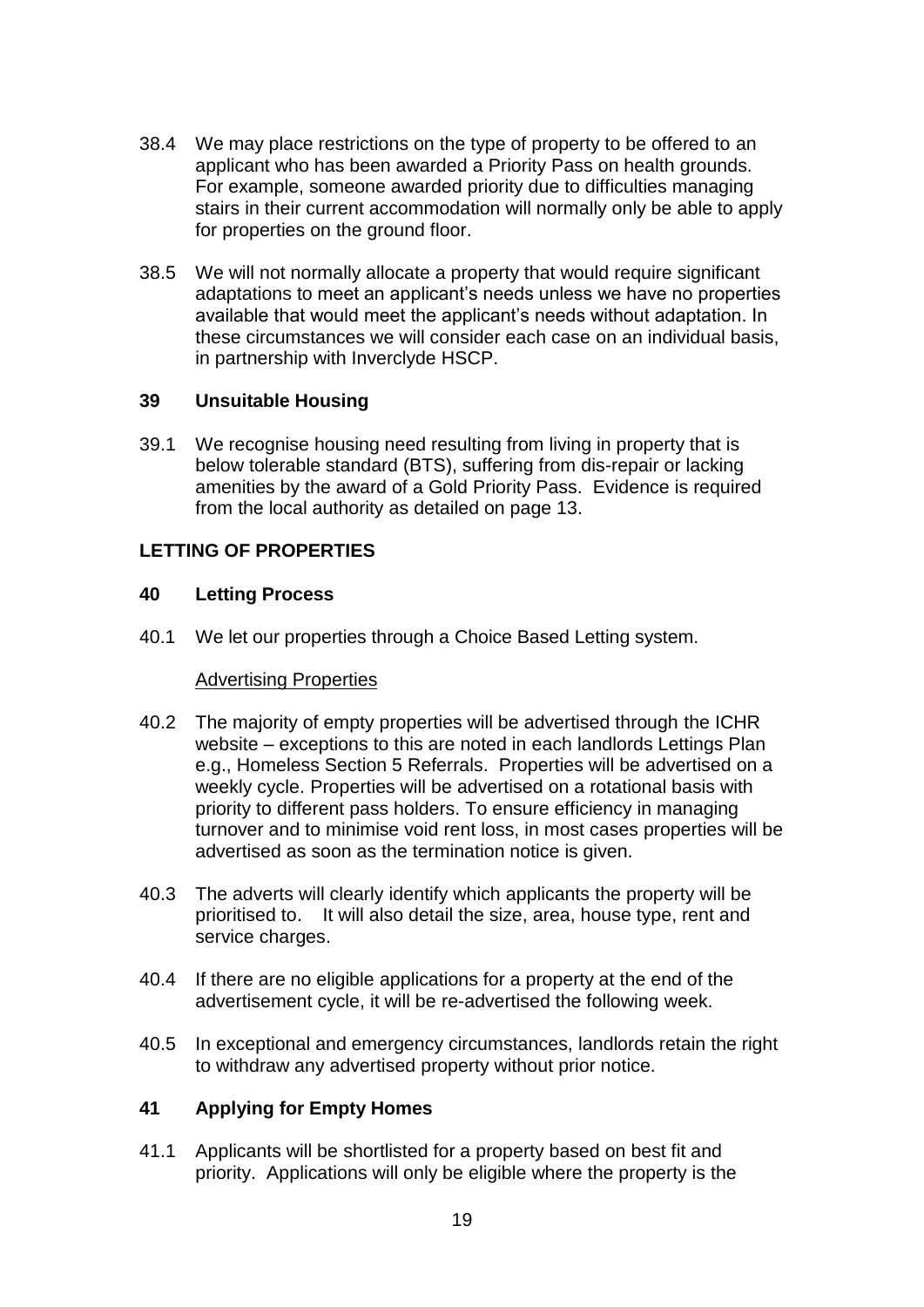- 38.4 We may place restrictions on the type of property to be offered to an applicant who has been awarded a Priority Pass on health grounds. For example, someone awarded priority due to difficulties managing stairs in their current accommodation will normally only be able to apply for properties on the ground floor.
- 38.5 We will not normally allocate a property that would require significant adaptations to meet an applicant's needs unless we have no properties available that would meet the applicant's needs without adaptation. In these circumstances we will consider each case on an individual basis, in partnership with Inverclyde HSCP.

### **39 Unsuitable Housing**

39.1 We recognise housing need resulting from living in property that is below tolerable standard (BTS), suffering from dis-repair or lacking amenities by the award of a Gold Priority Pass. Evidence is required from the local authority as detailed on page 13.

# **LETTING OF PROPERTIES**

### **40 Letting Process**

40.1 We let our properties through a Choice Based Letting system.

#### Advertising Properties

- 40.2 The majority of empty properties will be advertised through the ICHR website – exceptions to this are noted in each landlords Lettings Plan e.g., Homeless Section 5 Referrals. Properties will be advertised on a weekly cycle. Properties will be advertised on a rotational basis with priority to different pass holders. To ensure efficiency in managing turnover and to minimise void rent loss, in most cases properties will be advertised as soon as the termination notice is given.
- 40.3 The adverts will clearly identify which applicants the property will be prioritised to. It will also detail the size, area, house type, rent and service charges.
- 40.4 If there are no eligible applications for a property at the end of the advertisement cycle, it will be re-advertised the following week.
- 40.5 In exceptional and emergency circumstances, landlords retain the right to withdraw any advertised property without prior notice.

# **41 Applying for Empty Homes**

41.1 Applicants will be shortlisted for a property based on best fit and priority. Applications will only be eligible where the property is the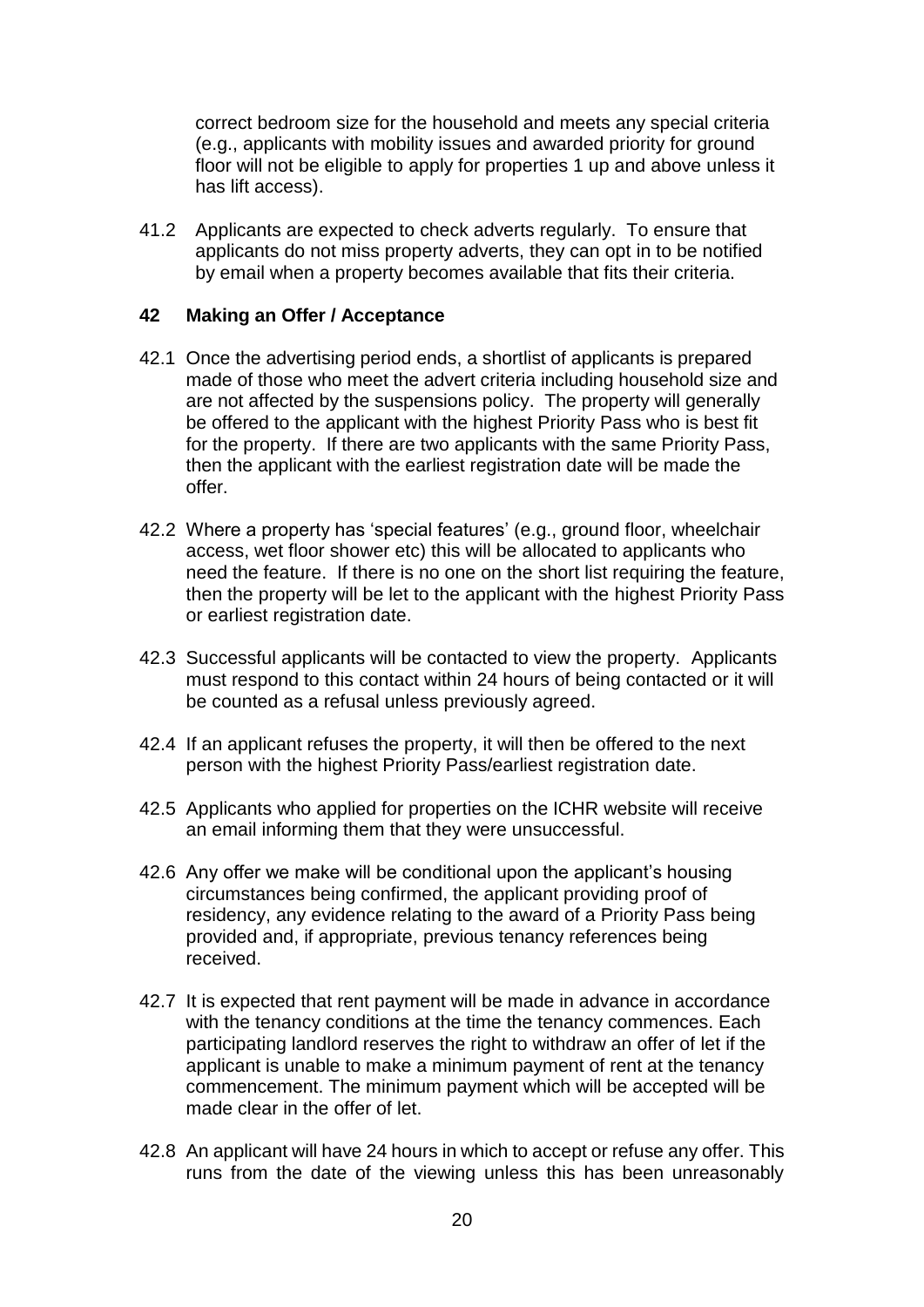correct bedroom size for the household and meets any special criteria (e.g., applicants with mobility issues and awarded priority for ground floor will not be eligible to apply for properties 1 up and above unless it has lift access).

41.2 Applicants are expected to check adverts regularly. To ensure that applicants do not miss property adverts, they can opt in to be notified by email when a property becomes available that fits their criteria.

#### **42 Making an Offer / Acceptance**

- 42.1 Once the advertising period ends, a shortlist of applicants is prepared made of those who meet the advert criteria including household size and are not affected by the suspensions policy. The property will generally be offered to the applicant with the highest Priority Pass who is best fit for the property. If there are two applicants with the same Priority Pass, then the applicant with the earliest registration date will be made the offer.
- 42.2 Where a property has 'special features' (e.g., ground floor, wheelchair access, wet floor shower etc) this will be allocated to applicants who need the feature. If there is no one on the short list requiring the feature, then the property will be let to the applicant with the highest Priority Pass or earliest registration date.
- 42.3 Successful applicants will be contacted to view the property. Applicants must respond to this contact within 24 hours of being contacted or it will be counted as a refusal unless previously agreed.
- 42.4 If an applicant refuses the property, it will then be offered to the next person with the highest Priority Pass/earliest registration date.
- 42.5 Applicants who applied for properties on the ICHR website will receive an email informing them that they were unsuccessful.
- 42.6 Any offer we make will be conditional upon the applicant's housing circumstances being confirmed, the applicant providing proof of residency, any evidence relating to the award of a Priority Pass being provided and, if appropriate, previous tenancy references being received.
- 42.7 It is expected that rent payment will be made in advance in accordance with the tenancy conditions at the time the tenancy commences. Each participating landlord reserves the right to withdraw an offer of let if the applicant is unable to make a minimum payment of rent at the tenancy commencement. The minimum payment which will be accepted will be made clear in the offer of let.
- 42.8 An applicant will have 24 hours in which to accept or refuse any offer. This runs from the date of the viewing unless this has been unreasonably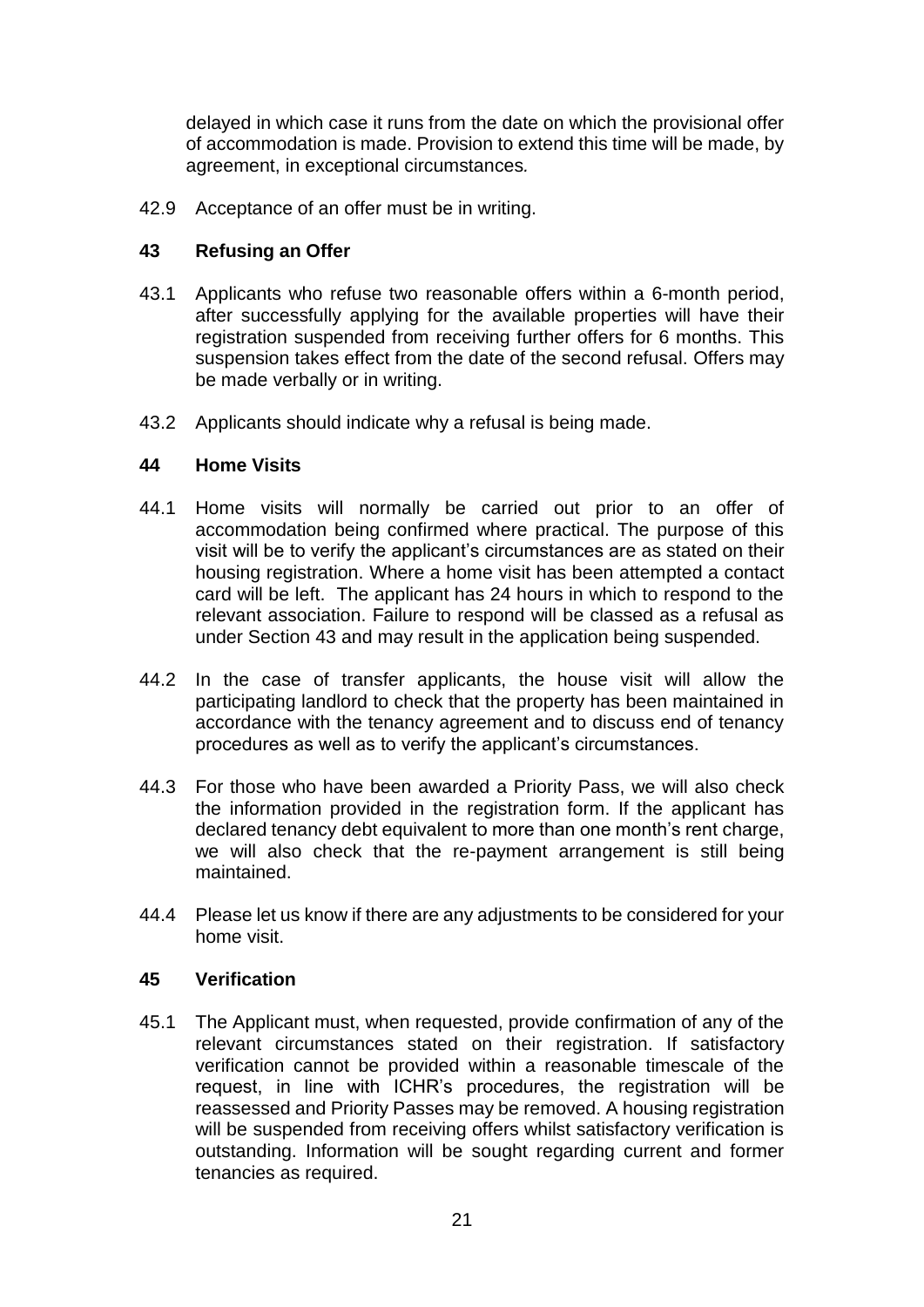delayed in which case it runs from the date on which the provisional offer of accommodation is made. Provision to extend this time will be made, by agreement, in exceptional circumstances*.*

42.9 Acceptance of an offer must be in writing.

### **43 Refusing an Offer**

- 43.1 Applicants who refuse two reasonable offers within a 6-month period, after successfully applying for the available properties will have their registration suspended from receiving further offers for 6 months. This suspension takes effect from the date of the second refusal. Offers may be made verbally or in writing.
- 43.2 Applicants should indicate why a refusal is being made.

### **44 Home Visits**

- 44.1 Home visits will normally be carried out prior to an offer of accommodation being confirmed where practical. The purpose of this visit will be to verify the applicant's circumstances are as stated on their housing registration. Where a home visit has been attempted a contact card will be left. The applicant has 24 hours in which to respond to the relevant association. Failure to respond will be classed as a refusal as under Section 43 and may result in the application being suspended.
- 44.2 In the case of transfer applicants, the house visit will allow the participating landlord to check that the property has been maintained in accordance with the tenancy agreement and to discuss end of tenancy procedures as well as to verify the applicant's circumstances.
- 44.3 For those who have been awarded a Priority Pass, we will also check the information provided in the registration form. If the applicant has declared tenancy debt equivalent to more than one month's rent charge, we will also check that the re-payment arrangement is still being maintained.
- 44.4 Please let us know if there are any adjustments to be considered for your home visit.

### **45 Verification**

45.1 The Applicant must, when requested, provide confirmation of any of the relevant circumstances stated on their registration. If satisfactory verification cannot be provided within a reasonable timescale of the request, in line with ICHR's procedures, the registration will be reassessed and Priority Passes may be removed. A housing registration will be suspended from receiving offers whilst satisfactory verification is outstanding. Information will be sought regarding current and former tenancies as required.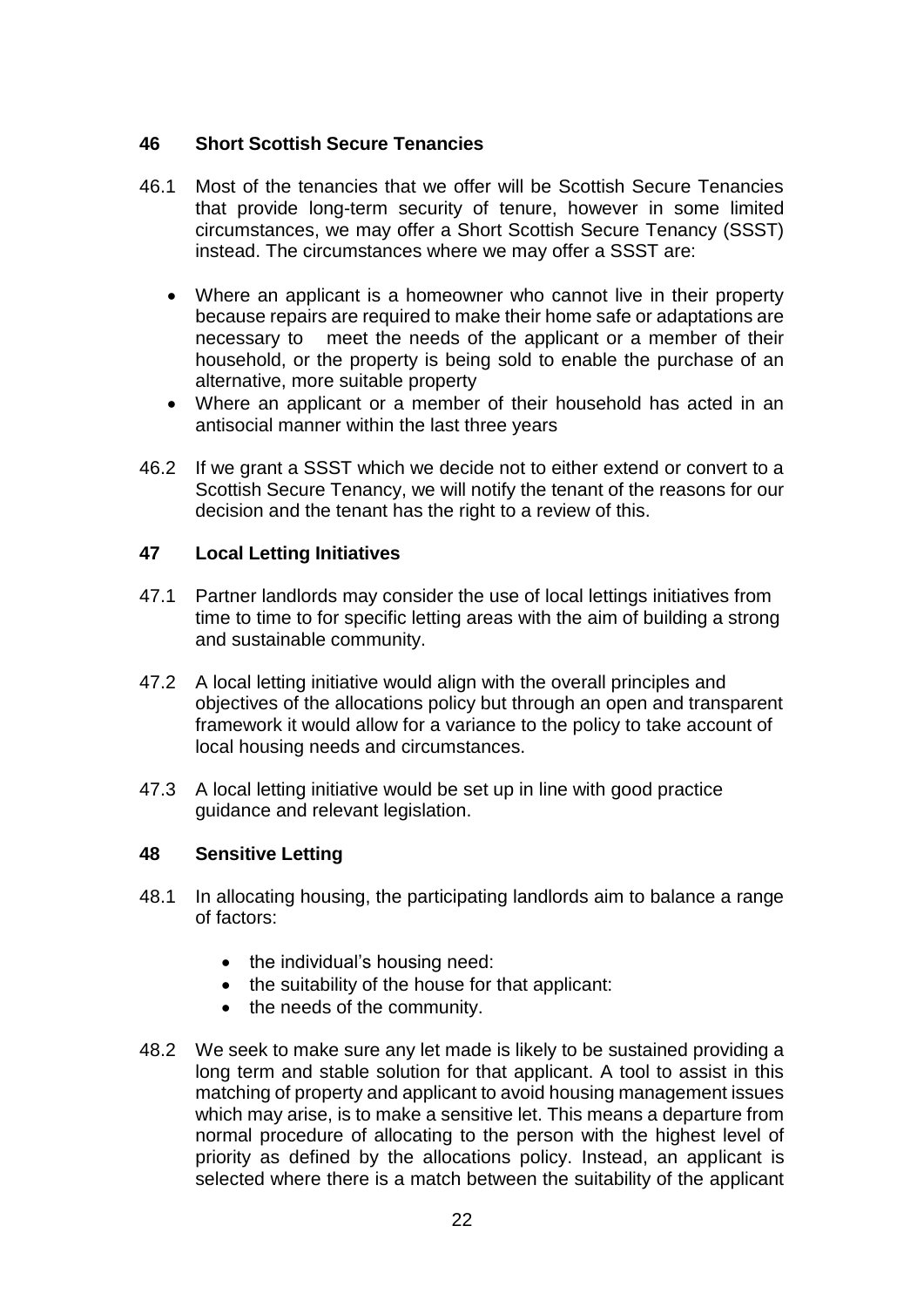### **46 Short Scottish Secure Tenancies**

- 46.1 Most of the tenancies that we offer will be Scottish Secure Tenancies that provide long-term security of tenure, however in some limited circumstances, we may offer a Short Scottish Secure Tenancy (SSST) instead. The circumstances where we may offer a SSST are:
	- Where an applicant is a homeowner who cannot live in their property because repairs are required to make their home safe or adaptations are necessary to meet the needs of the applicant or a member of their household, or the property is being sold to enable the purchase of an alternative, more suitable property
	- Where an applicant or a member of their household has acted in an antisocial manner within the last three years
- 46.2 If we grant a SSST which we decide not to either extend or convert to a Scottish Secure Tenancy, we will notify the tenant of the reasons for our decision and the tenant has the right to a review of this.

### **47 Local Letting Initiatives**

- 47.1 Partner landlords may consider the use of local lettings initiatives from time to time to for specific letting areas with the aim of building a strong and sustainable community.
- 47.2 A local letting initiative would align with the overall principles and objectives of the allocations policy but through an open and transparent framework it would allow for a variance to the policy to take account of local housing needs and circumstances.
- 47.3 A local letting initiative would be set up in line with good practice guidance and relevant legislation.

### **48 Sensitive Letting**

- 48.1 In allocating housing, the participating landlords aim to balance a range of factors:
	- the individual's housing need:
	- the suitability of the house for that applicant:
	- the needs of the community.
- 48.2 We seek to make sure any let made is likely to be sustained providing a long term and stable solution for that applicant. A tool to assist in this matching of property and applicant to avoid housing management issues which may arise, is to make a sensitive let. This means a departure from normal procedure of allocating to the person with the highest level of priority as defined by the allocations policy. Instead, an applicant is selected where there is a match between the suitability of the applicant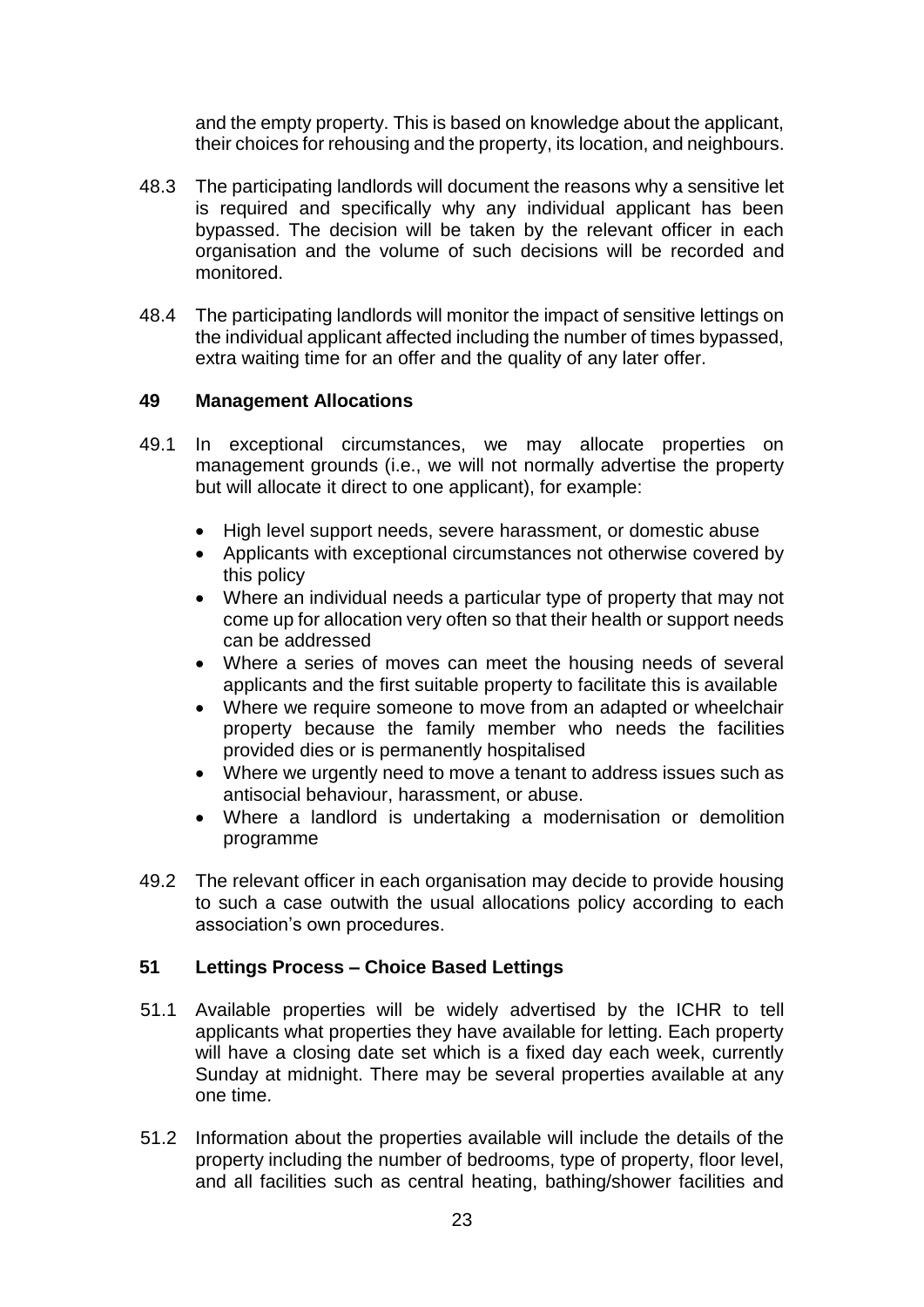and the empty property. This is based on knowledge about the applicant, their choices for rehousing and the property, its location, and neighbours.

- 48.3 The participating landlords will document the reasons why a sensitive let is required and specifically why any individual applicant has been bypassed. The decision will be taken by the relevant officer in each organisation and the volume of such decisions will be recorded and monitored.
- 48.4 The participating landlords will monitor the impact of sensitive lettings on the individual applicant affected including the number of times bypassed, extra waiting time for an offer and the quality of any later offer.

### **49 Management Allocations**

- 49.1 In exceptional circumstances, we may allocate properties on management grounds (i.e., we will not normally advertise the property but will allocate it direct to one applicant), for example:
	- High level support needs, severe harassment, or domestic abuse
	- Applicants with exceptional circumstances not otherwise covered by this policy
	- Where an individual needs a particular type of property that may not come up for allocation very often so that their health or support needs can be addressed
	- Where a series of moves can meet the housing needs of several applicants and the first suitable property to facilitate this is available
	- Where we require someone to move from an adapted or wheelchair property because the family member who needs the facilities provided dies or is permanently hospitalised
	- Where we urgently need to move a tenant to address issues such as antisocial behaviour, harassment, or abuse.
	- Where a landlord is undertaking a modernisation or demolition programme
- 49.2 The relevant officer in each organisation may decide to provide housing to such a case outwith the usual allocations policy according to each association's own procedures.

# **51 Lettings Process – Choice Based Lettings**

- 51.1 Available properties will be widely advertised by the ICHR to tell applicants what properties they have available for letting. Each property will have a closing date set which is a fixed day each week, currently Sunday at midnight. There may be several properties available at any one time.
- 51.2 Information about the properties available will include the details of the property including the number of bedrooms, type of property, floor level, and all facilities such as central heating, bathing/shower facilities and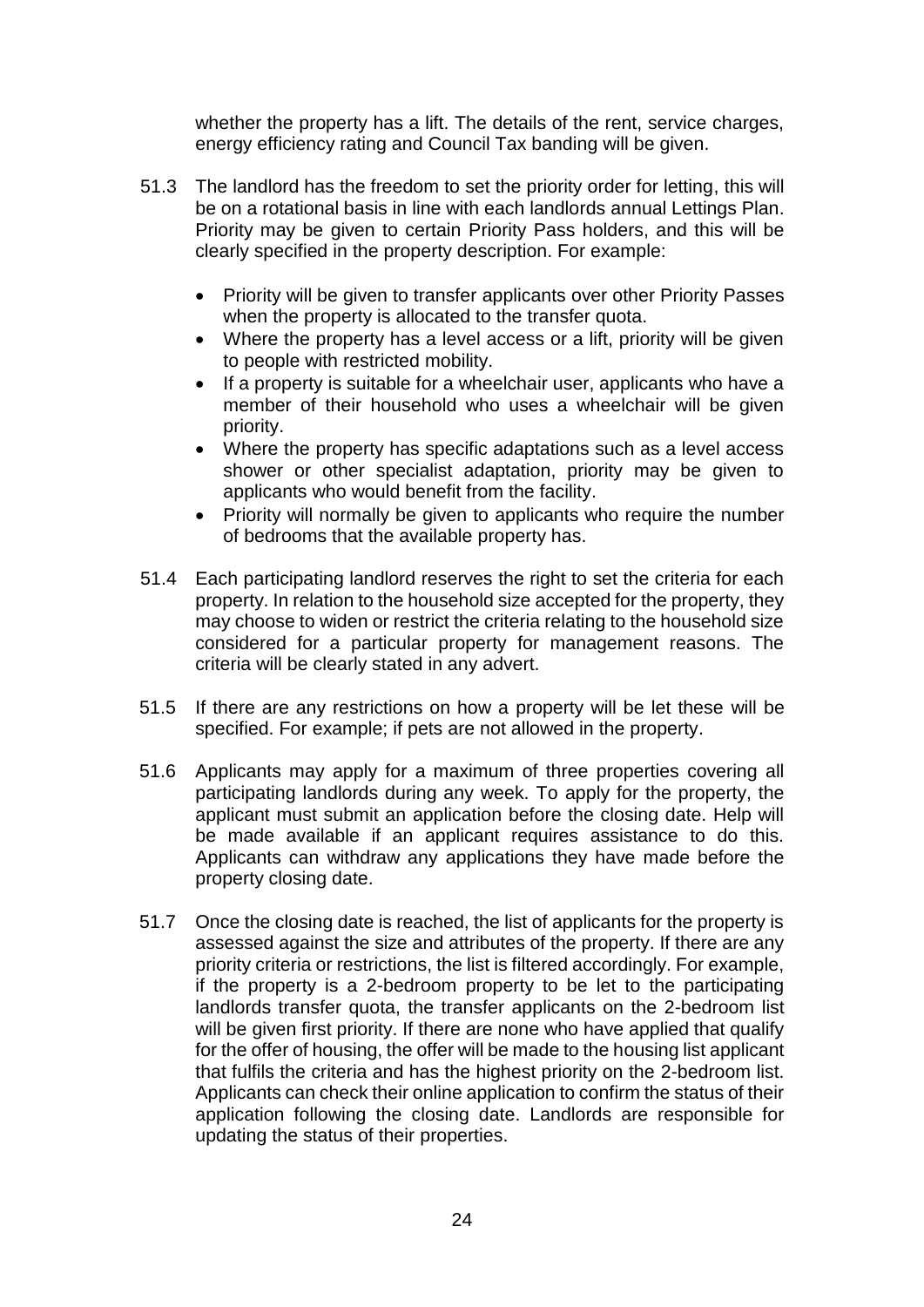whether the property has a lift. The details of the rent, service charges, energy efficiency rating and Council Tax banding will be given.

- 51.3 The landlord has the freedom to set the priority order for letting, this will be on a rotational basis in line with each landlords annual Lettings Plan. Priority may be given to certain Priority Pass holders, and this will be clearly specified in the property description. For example:
	- Priority will be given to transfer applicants over other Priority Passes when the property is allocated to the transfer quota.
	- Where the property has a level access or a lift, priority will be given to people with restricted mobility.
	- If a property is suitable for a wheelchair user, applicants who have a member of their household who uses a wheelchair will be given priority.
	- Where the property has specific adaptations such as a level access shower or other specialist adaptation, priority may be given to applicants who would benefit from the facility.
	- Priority will normally be given to applicants who require the number of bedrooms that the available property has.
- 51.4 Each participating landlord reserves the right to set the criteria for each property. In relation to the household size accepted for the property, they may choose to widen or restrict the criteria relating to the household size considered for a particular property for management reasons. The criteria will be clearly stated in any advert.
- 51.5 If there are any restrictions on how a property will be let these will be specified. For example; if pets are not allowed in the property.
- 51.6 Applicants may apply for a maximum of three properties covering all participating landlords during any week. To apply for the property, the applicant must submit an application before the closing date. Help will be made available if an applicant requires assistance to do this. Applicants can withdraw any applications they have made before the property closing date.
- 51.7 Once the closing date is reached, the list of applicants for the property is assessed against the size and attributes of the property. If there are any priority criteria or restrictions, the list is filtered accordingly. For example, if the property is a 2-bedroom property to be let to the participating landlords transfer quota, the transfer applicants on the 2-bedroom list will be given first priority. If there are none who have applied that qualify for the offer of housing, the offer will be made to the housing list applicant that fulfils the criteria and has the highest priority on the 2-bedroom list. Applicants can check their online application to confirm the status of their application following the closing date. Landlords are responsible for updating the status of their properties.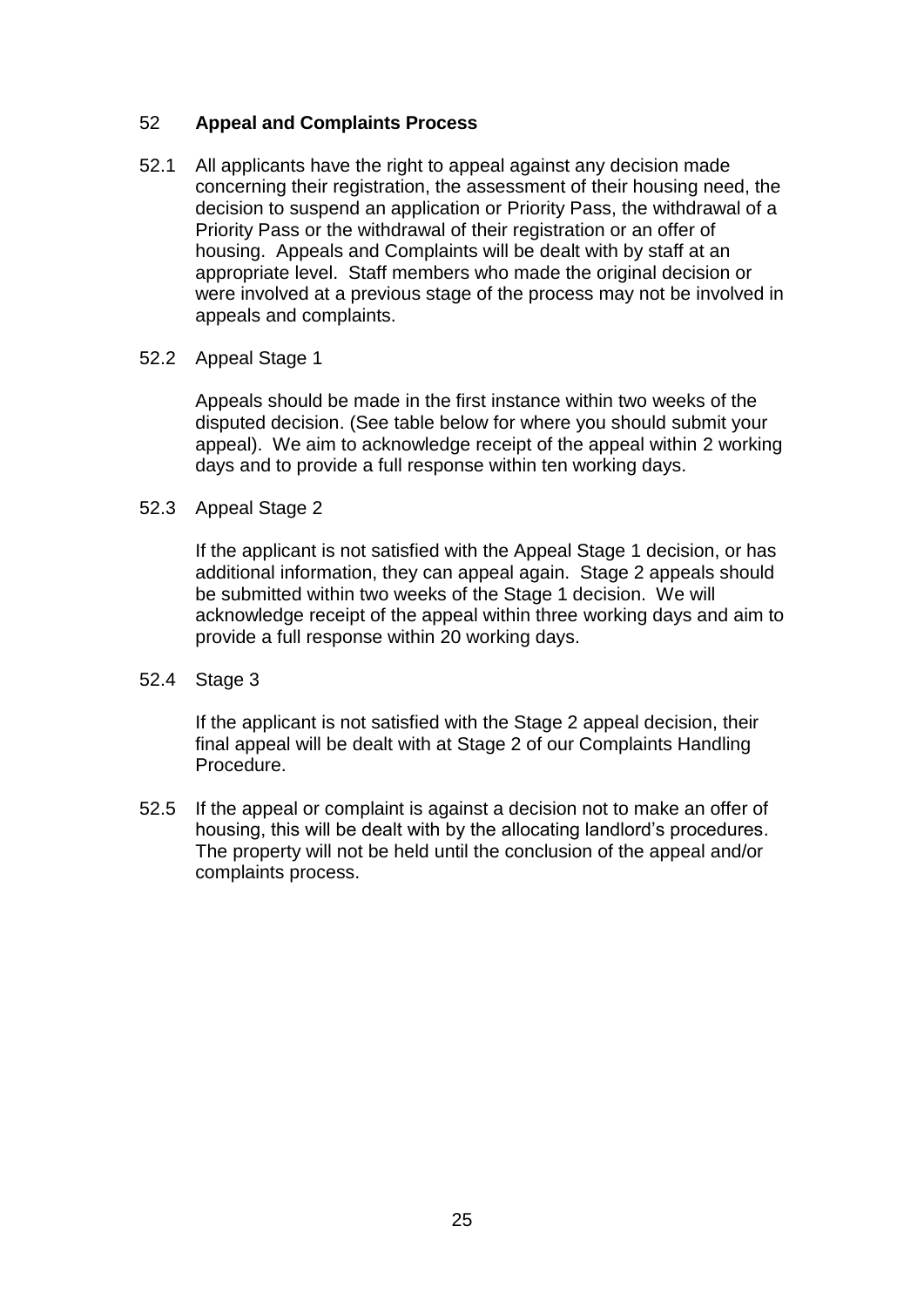# 52 **Appeal and Complaints Process**

52.1 All applicants have the right to appeal against any decision made concerning their registration, the assessment of their housing need, the decision to suspend an application or Priority Pass, the withdrawal of a Priority Pass or the withdrawal of their registration or an offer of housing. Appeals and Complaints will be dealt with by staff at an appropriate level. Staff members who made the original decision or were involved at a previous stage of the process may not be involved in appeals and complaints.

### 52.2 Appeal Stage 1

Appeals should be made in the first instance within two weeks of the disputed decision. (See table below for where you should submit your appeal). We aim to acknowledge receipt of the appeal within 2 working days and to provide a full response within ten working days.

#### 52.3 Appeal Stage 2

If the applicant is not satisfied with the Appeal Stage 1 decision, or has additional information, they can appeal again. Stage 2 appeals should be submitted within two weeks of the Stage 1 decision. We will acknowledge receipt of the appeal within three working days and aim to provide a full response within 20 working days.

### 52.4 Stage 3

If the applicant is not satisfied with the Stage 2 appeal decision, their final appeal will be dealt with at Stage 2 of our Complaints Handling Procedure.

52.5 If the appeal or complaint is against a decision not to make an offer of housing, this will be dealt with by the allocating landlord's procedures. The property will not be held until the conclusion of the appeal and/or complaints process.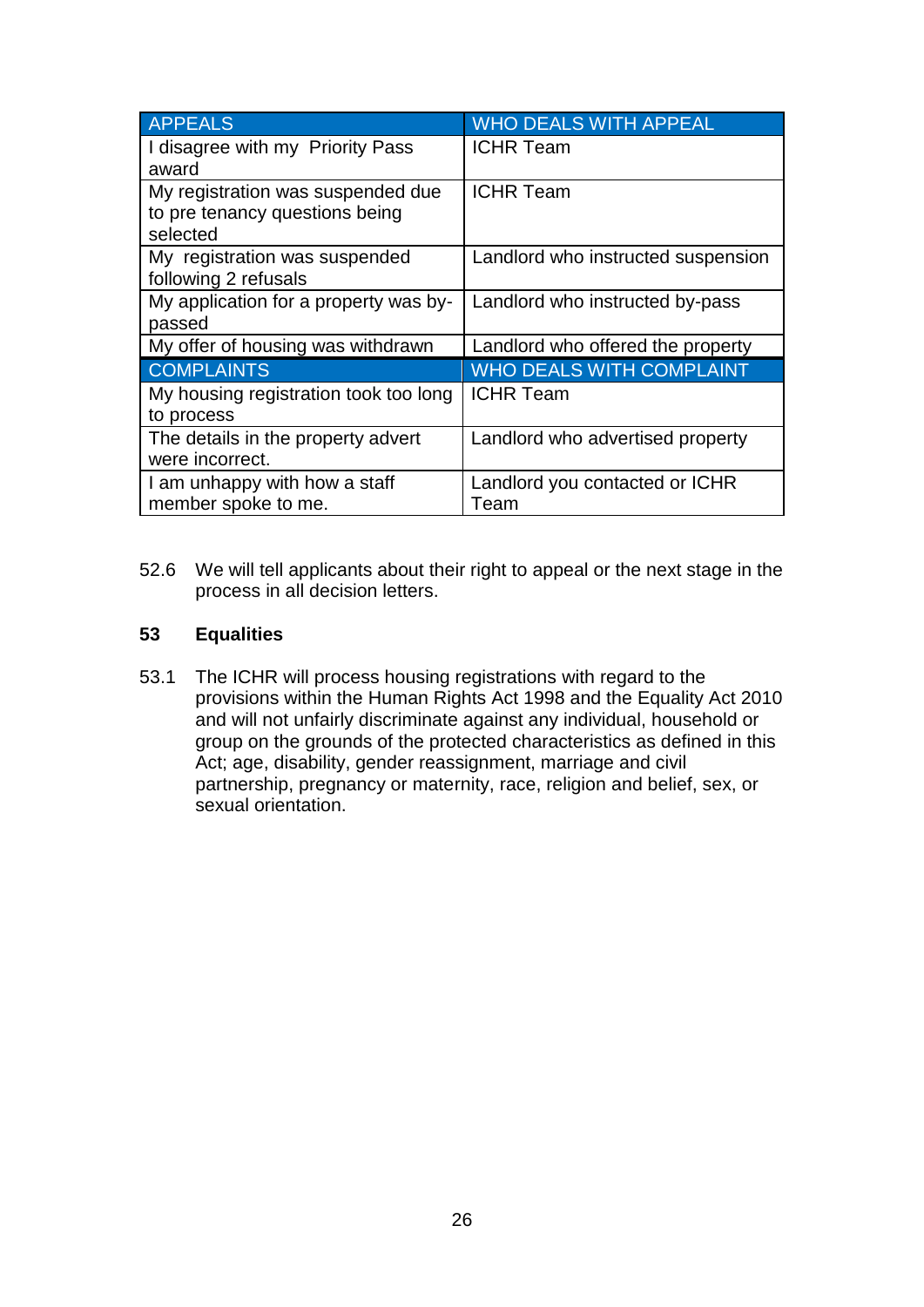| <b>APPEALS</b>                                                                  | <b>WHO DEALS WITH APPEAL</b>           |
|---------------------------------------------------------------------------------|----------------------------------------|
| I disagree with my Priority Pass<br>award                                       | <b>ICHR Team</b>                       |
| My registration was suspended due<br>to pre tenancy questions being<br>selected | <b>ICHR Team</b>                       |
| My registration was suspended<br>following 2 refusals                           | Landlord who instructed suspension     |
| My application for a property was by-<br>passed                                 | Landlord who instructed by-pass        |
| My offer of housing was withdrawn                                               | Landlord who offered the property      |
| <b>COMPLAINTS</b>                                                               | <b>WHO DEALS WITH COMPLAINT</b>        |
| My housing registration took too long<br>to process                             | <b>ICHR Team</b>                       |
| The details in the property advert<br>were incorrect.                           | Landlord who advertised property       |
| I am unhappy with how a staff<br>member spoke to me.                            | Landlord you contacted or ICHR<br>Team |

52.6 We will tell applicants about their right to appeal or the next stage in the process in all decision letters.

### **53 Equalities**

53.1 The ICHR will process housing registrations with regard to the provisions within the Human Rights Act 1998 and the Equality Act 2010 and will not unfairly discriminate against any individual, household or group on the grounds of the protected characteristics as defined in this Act; age, disability, gender reassignment, marriage and civil partnership, pregnancy or maternity, race, religion and belief, sex, or sexual orientation.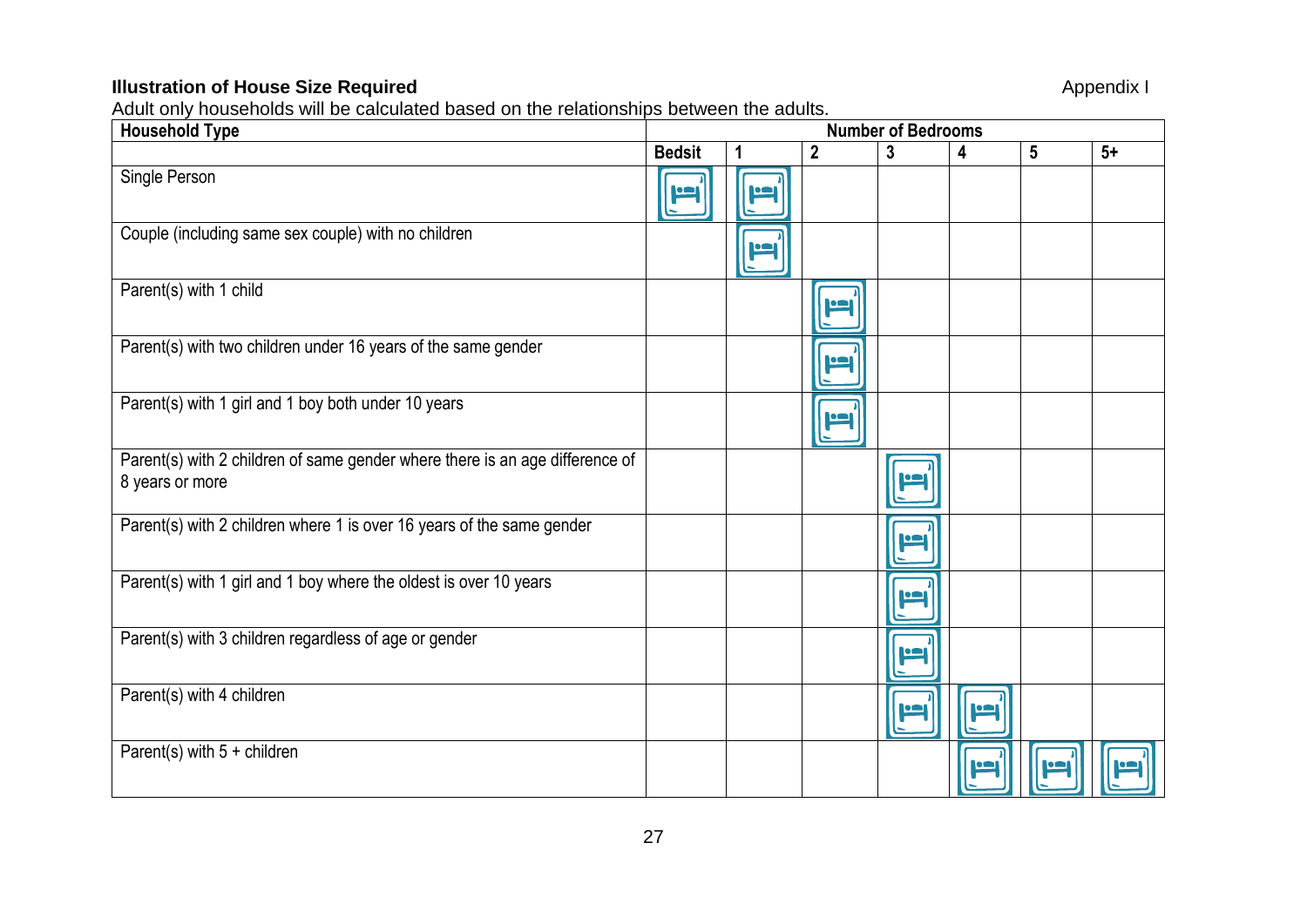### **Illustration of House Size Required** Appendix I

Adult only households will be calculated based on the relationships between the adults.

| <u>tauri only householde will be calculated baced on the relationship</u><br><b>Household Type</b> | 0 00.00000 und additio<br><b>Number of Bedrooms</b> |            |                  |              |             |                 |      |
|----------------------------------------------------------------------------------------------------|-----------------------------------------------------|------------|------------------|--------------|-------------|-----------------|------|
|                                                                                                    | <b>Bedsit</b>                                       | 1          | $\boldsymbol{2}$ | $\mathbf{3}$ | 4           | $5\phantom{.0}$ | $5+$ |
| Single Person                                                                                      | loo                                                 | <u>امر</u> |                  |              |             |                 |      |
| Couple (including same sex couple) with no children                                                |                                                     | F          |                  |              |             |                 |      |
| Parent(s) with 1 child                                                                             |                                                     |            | Ľ                |              |             |                 |      |
| Parent(s) with two children under 16 years of the same gender                                      |                                                     |            | اصرا             |              |             |                 |      |
| Parent(s) with 1 girl and 1 boy both under 10 years                                                |                                                     |            | I                |              |             |                 |      |
| Parent(s) with 2 children of same gender where there is an age difference of<br>8 years or more    |                                                     |            |                  | <u>اعر</u>   |             |                 |      |
| Parent(s) with 2 children where 1 is over 16 years of the same gender                              |                                                     |            |                  | I            |             |                 |      |
| Parent(s) with 1 girl and 1 boy where the oldest is over 10 years                                  |                                                     |            |                  | Ľ            |             |                 |      |
| Parent(s) with 3 children regardless of age or gender                                              |                                                     |            |                  | Ľ            |             |                 |      |
| Parent(s) with 4 children                                                                          |                                                     |            |                  | I            | <u>io a</u> |                 |      |
| Parent(s) with $5 +$ children                                                                      |                                                     |            |                  |              | r           | <b>IP</b>       |      |